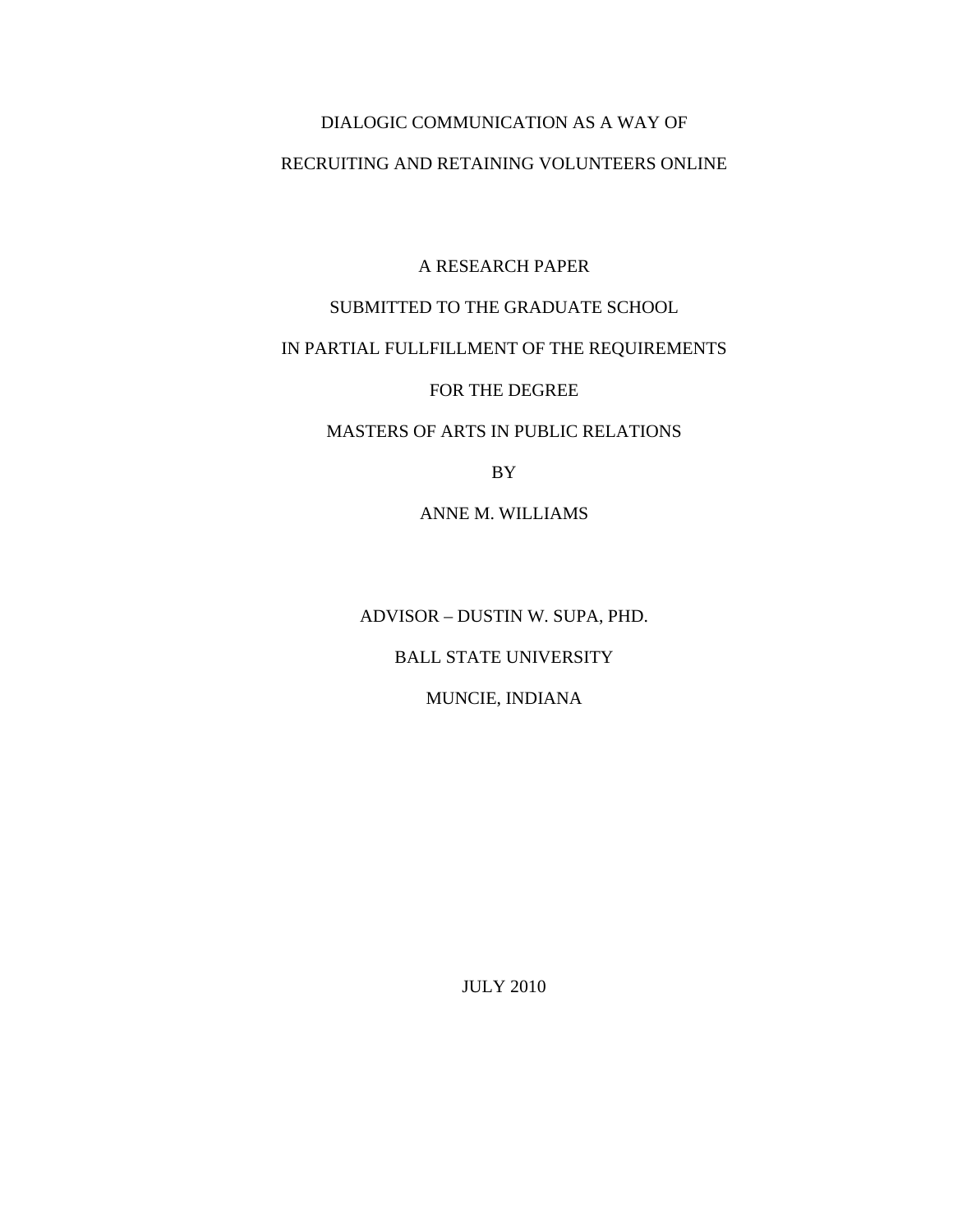# DIALOGIC COMMUNICATION AS A WAY OF

## RECRUITING AND RETAINING VOLUNTEERS ONLINE

A RESEARCH PAPER

# SUBMITTED TO THE GRADUATE SCHOOL

# IN PARTIAL FULLFILLMENT OF THE REQUIREMENTS

## FOR THE DEGREE

# MASTERS OF ARTS IN PUBLIC RELATIONS

BY

ANNE M. WILLIAMS

ADVISOR – DUSTIN W. SUPA, PHD.

BALL STATE UNIVERSITY

MUNCIE, INDIANA

JULY 2010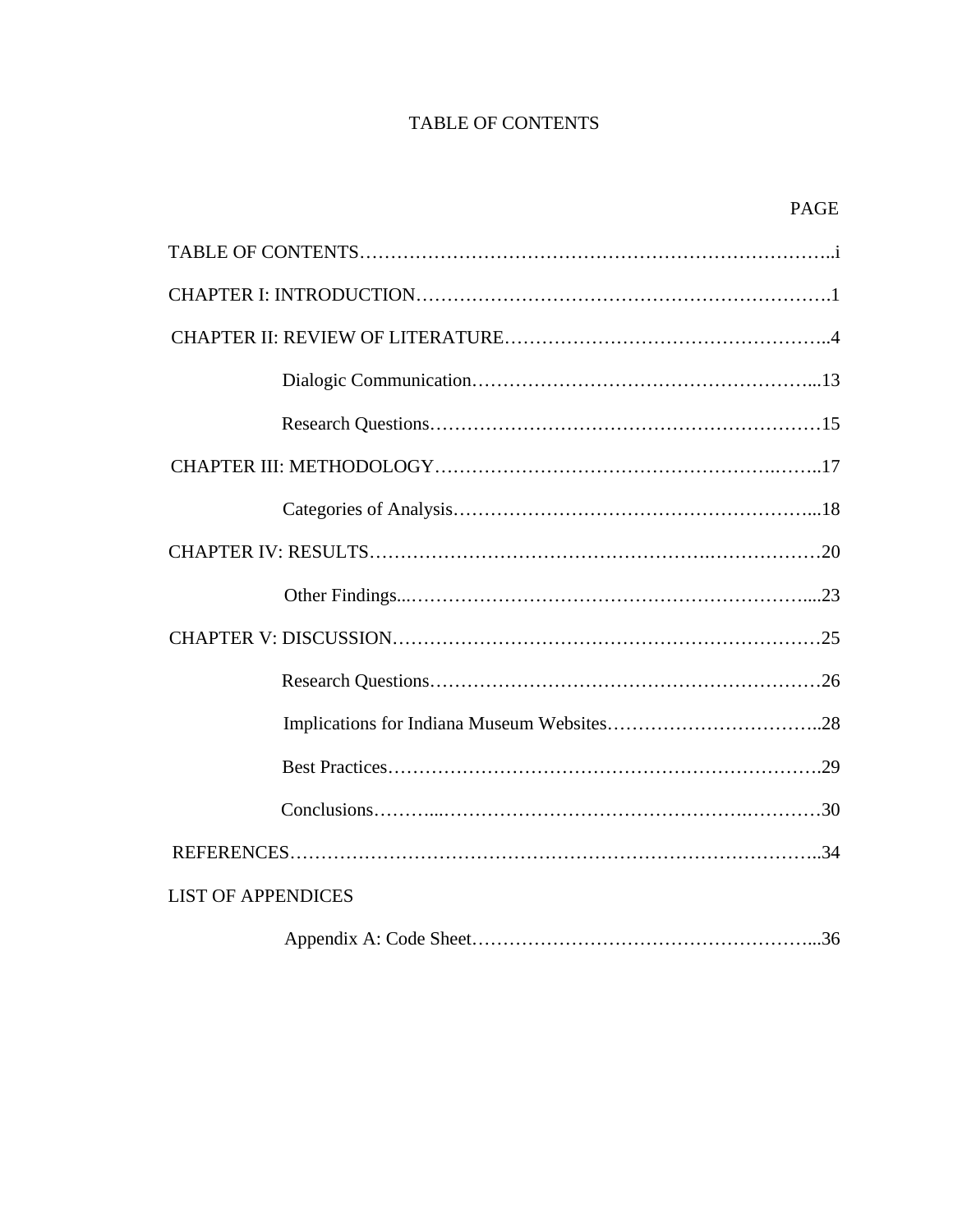# TABLE OF CONTENTS

| <b>LIST OF APPENDICES</b> |  |  |  |  |
|---------------------------|--|--|--|--|
|                           |  |  |  |  |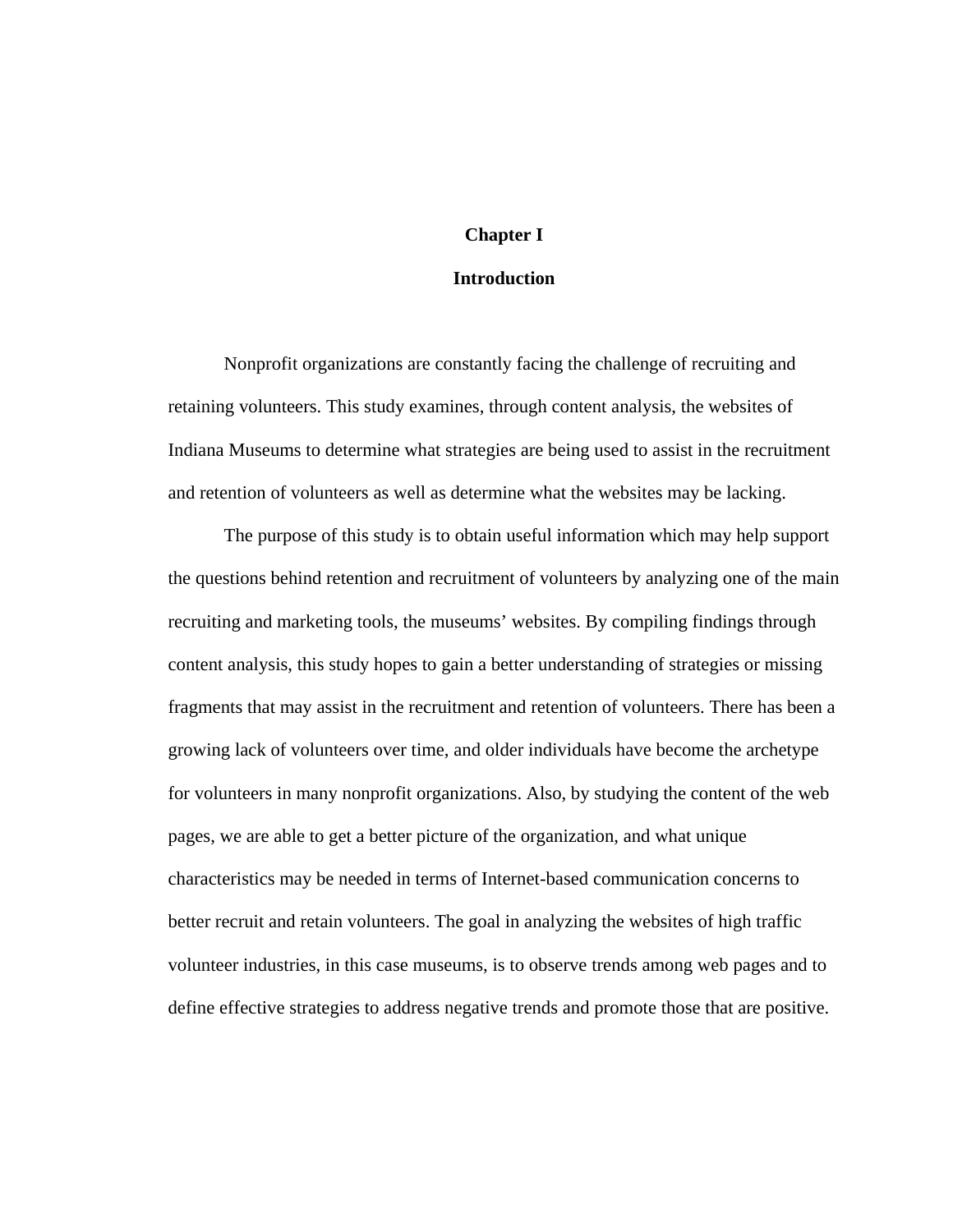## **Chapter I**

### **Introduction**

Nonprofit organizations are constantly facing the challenge of recruiting and retaining volunteers. This study examines, through content analysis, the websites of Indiana Museums to determine what strategies are being used to assist in the recruitment and retention of volunteers as well as determine what the websites may be lacking.

The purpose of this study is to obtain useful information which may help support the questions behind retention and recruitment of volunteers by analyzing one of the main recruiting and marketing tools, the museums' websites. By compiling findings through content analysis, this study hopes to gain a better understanding of strategies or missing fragments that may assist in the recruitment and retention of volunteers. There has been a growing lack of volunteers over time, and older individuals have become the archetype for volunteers in many nonprofit organizations. Also, by studying the content of the web pages, we are able to get a better picture of the organization, and what unique characteristics may be needed in terms of Internet-based communication concerns to better recruit and retain volunteers. The goal in analyzing the websites of high traffic volunteer industries, in this case museums, is to observe trends among web pages and to define effective strategies to address negative trends and promote those that are positive.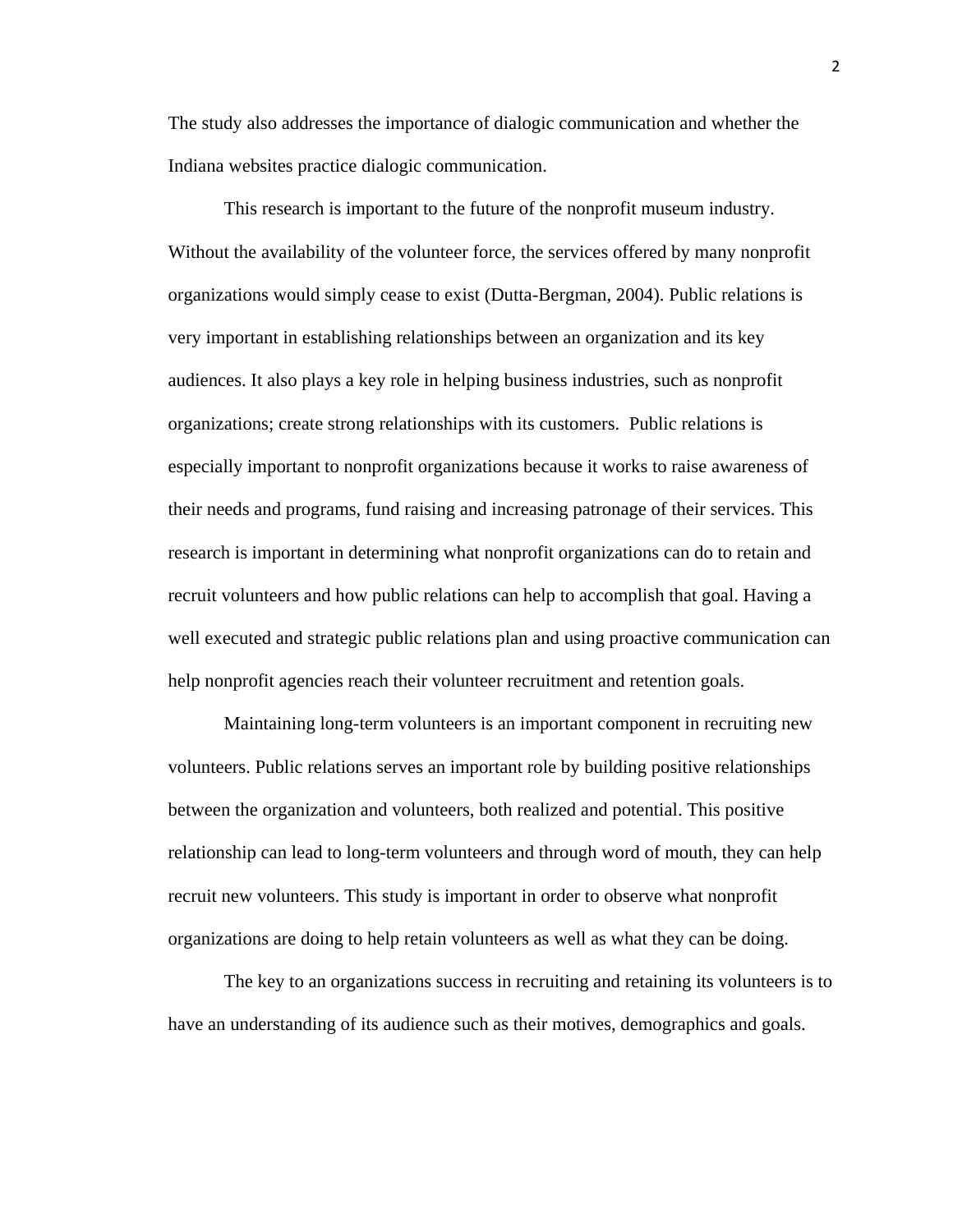The study also addresses the importance of dialogic communication and whether the Indiana websites practice dialogic communication.

This research is important to the future of the nonprofit museum industry. Without the availability of the volunteer force, the services offered by many nonprofit organizations would simply cease to exist (Dutta-Bergman, 2004). Public relations is very important in establishing relationships between an organization and its key audiences. It also plays a key role in helping business industries, such as nonprofit organizations; create strong relationships with its customers. Public relations is especially important to nonprofit organizations because it works to raise awareness of their needs and programs, fund raising and increasing patronage of their services. This research is important in determining what nonprofit organizations can do to retain and recruit volunteers and how public relations can help to accomplish that goal. Having a well executed and strategic public relations plan and using proactive communication can help nonprofit agencies reach their volunteer recruitment and retention goals.

 Maintaining long-term volunteers is an important component in recruiting new volunteers. Public relations serves an important role by building positive relationships between the organization and volunteers, both realized and potential. This positive relationship can lead to long-term volunteers and through word of mouth, they can help recruit new volunteers. This study is important in order to observe what nonprofit organizations are doing to help retain volunteers as well as what they can be doing.

The key to an organizations success in recruiting and retaining its volunteers is to have an understanding of its audience such as their motives, demographics and goals.

2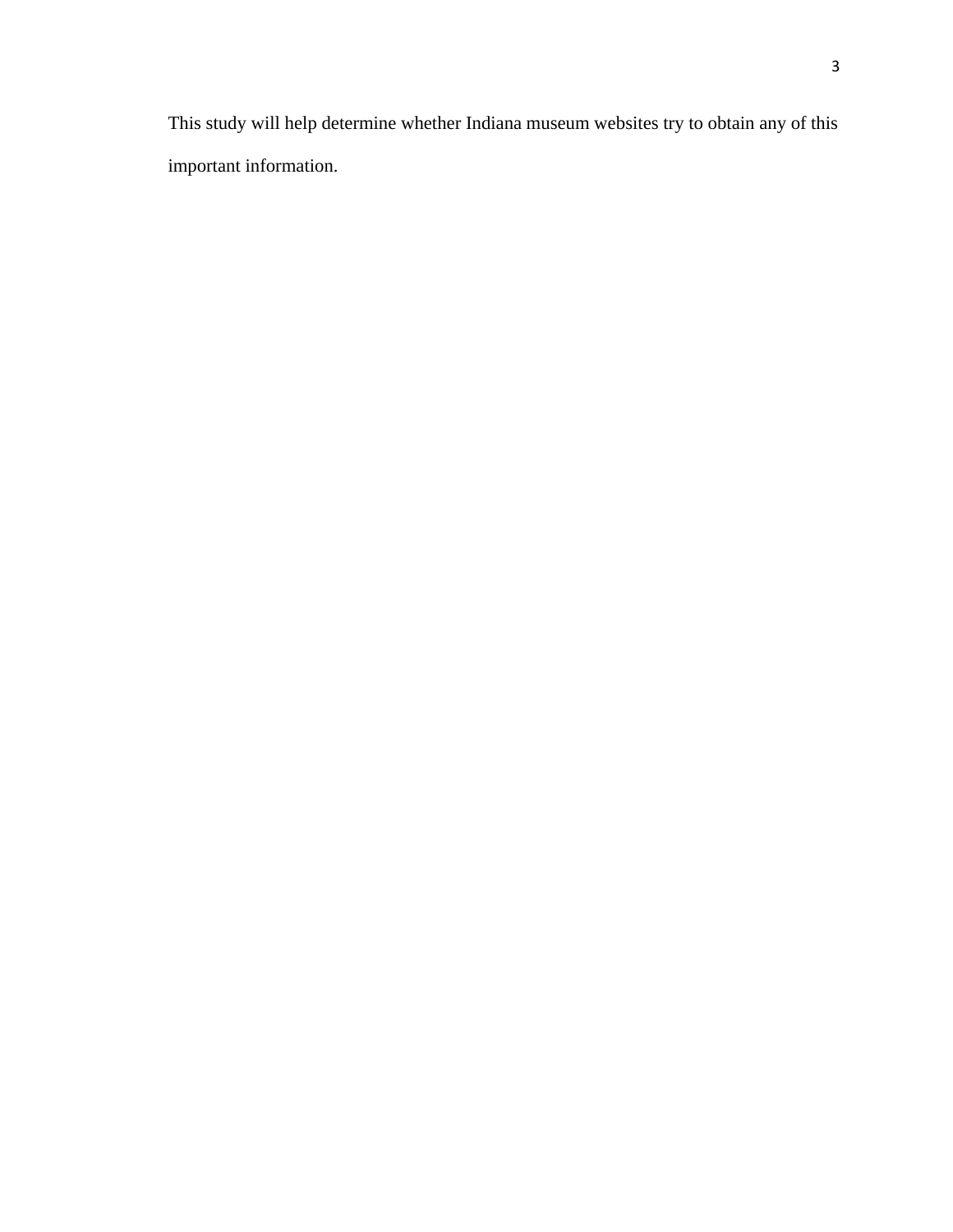This study will help determine whether Indiana museum websites try to obtain any of this important information.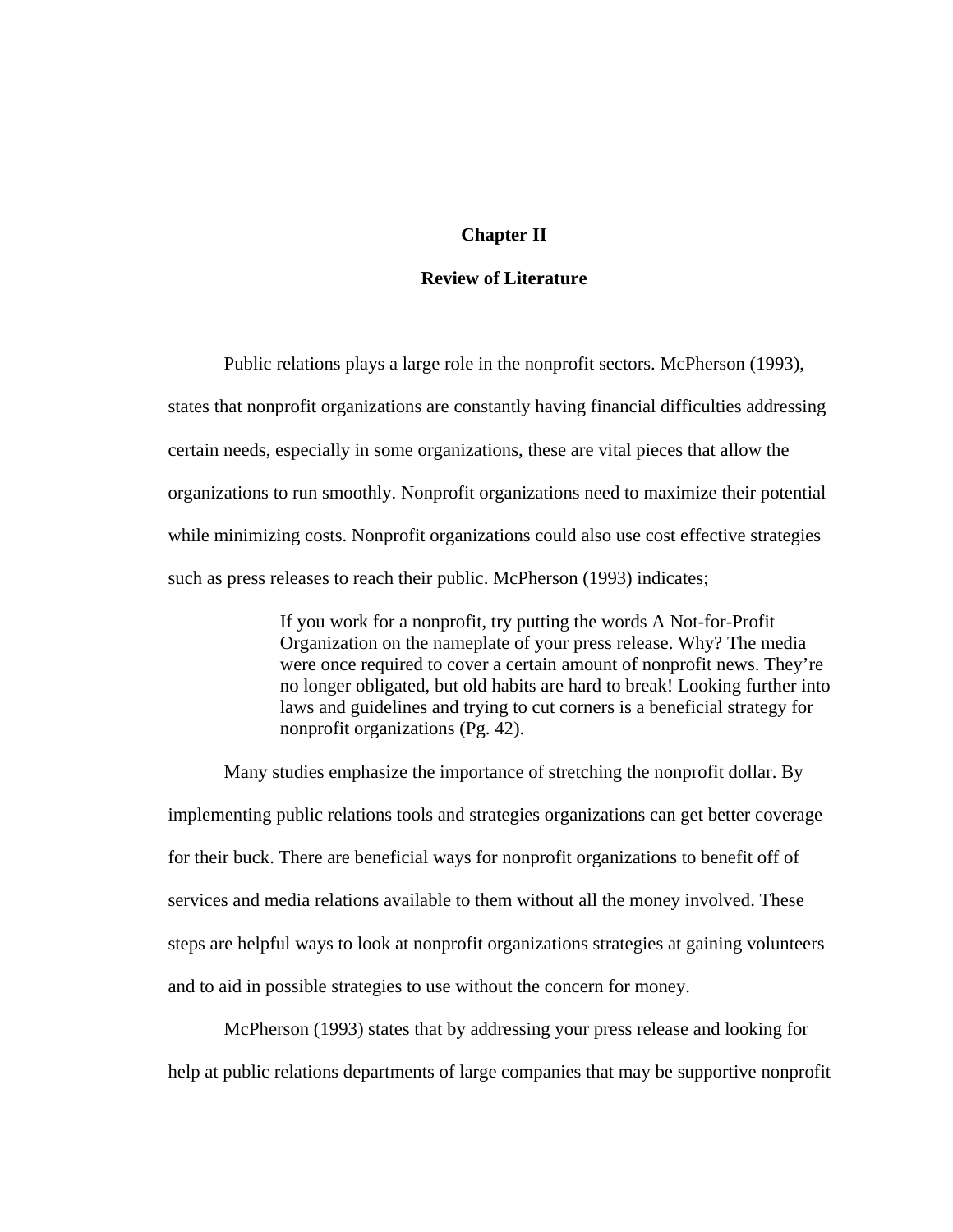#### **Chapter II**

#### **Review of Literature**

Public relations plays a large role in the nonprofit sectors. McPherson (1993), states that nonprofit organizations are constantly having financial difficulties addressing certain needs, especially in some organizations, these are vital pieces that allow the organizations to run smoothly. Nonprofit organizations need to maximize their potential while minimizing costs. Nonprofit organizations could also use cost effective strategies such as press releases to reach their public. McPherson (1993) indicates;

> If you work for a nonprofit, try putting the words A Not-for-Profit Organization on the nameplate of your press release. Why? The media were once required to cover a certain amount of nonprofit news. They're no longer obligated, but old habits are hard to break! Looking further into laws and guidelines and trying to cut corners is a beneficial strategy for nonprofit organizations (Pg. 42).

Many studies emphasize the importance of stretching the nonprofit dollar. By implementing public relations tools and strategies organizations can get better coverage for their buck. There are beneficial ways for nonprofit organizations to benefit off of services and media relations available to them without all the money involved. These steps are helpful ways to look at nonprofit organizations strategies at gaining volunteers and to aid in possible strategies to use without the concern for money.

McPherson (1993) states that by addressing your press release and looking for help at public relations departments of large companies that may be supportive nonprofit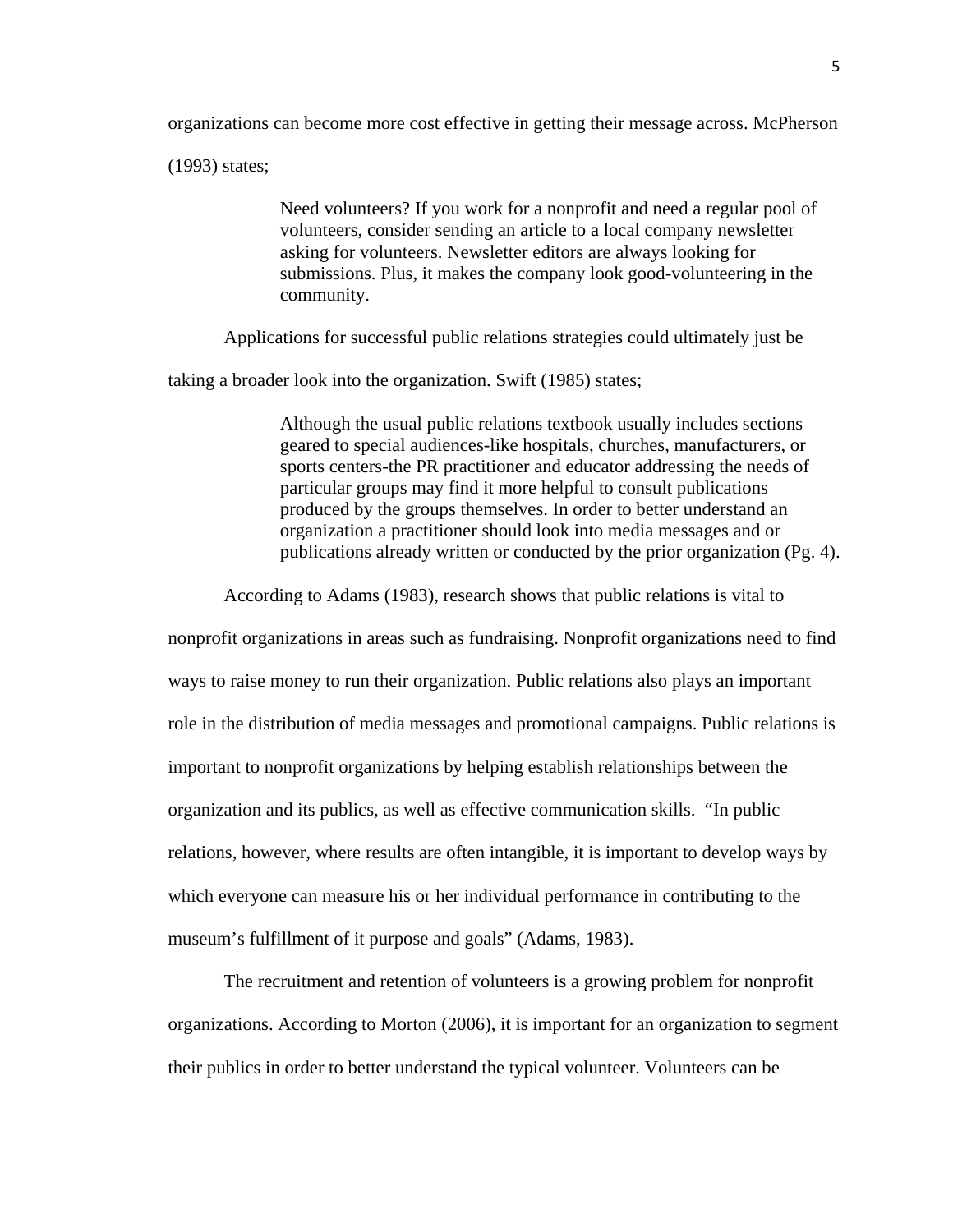organizations can become more cost effective in getting their message across. McPherson

(1993) states;

Need volunteers? If you work for a nonprofit and need a regular pool of volunteers, consider sending an article to a local company newsletter asking for volunteers. Newsletter editors are always looking for submissions. Plus, it makes the company look good-volunteering in the community.

Applications for successful public relations strategies could ultimately just be

taking a broader look into the organization. Swift (1985) states;

Although the usual public relations textbook usually includes sections geared to special audiences-like hospitals, churches, manufacturers, or sports centers-the PR practitioner and educator addressing the needs of particular groups may find it more helpful to consult publications produced by the groups themselves. In order to better understand an organization a practitioner should look into media messages and or publications already written or conducted by the prior organization (Pg. 4).

According to Adams (1983), research shows that public relations is vital to

nonprofit organizations in areas such as fundraising. Nonprofit organizations need to find ways to raise money to run their organization. Public relations also plays an important role in the distribution of media messages and promotional campaigns. Public relations is important to nonprofit organizations by helping establish relationships between the organization and its publics, as well as effective communication skills. "In public relations, however, where results are often intangible, it is important to develop ways by which everyone can measure his or her individual performance in contributing to the museum's fulfillment of it purpose and goals" (Adams, 1983).

The recruitment and retention of volunteers is a growing problem for nonprofit organizations. According to Morton (2006), it is important for an organization to segment their publics in order to better understand the typical volunteer. Volunteers can be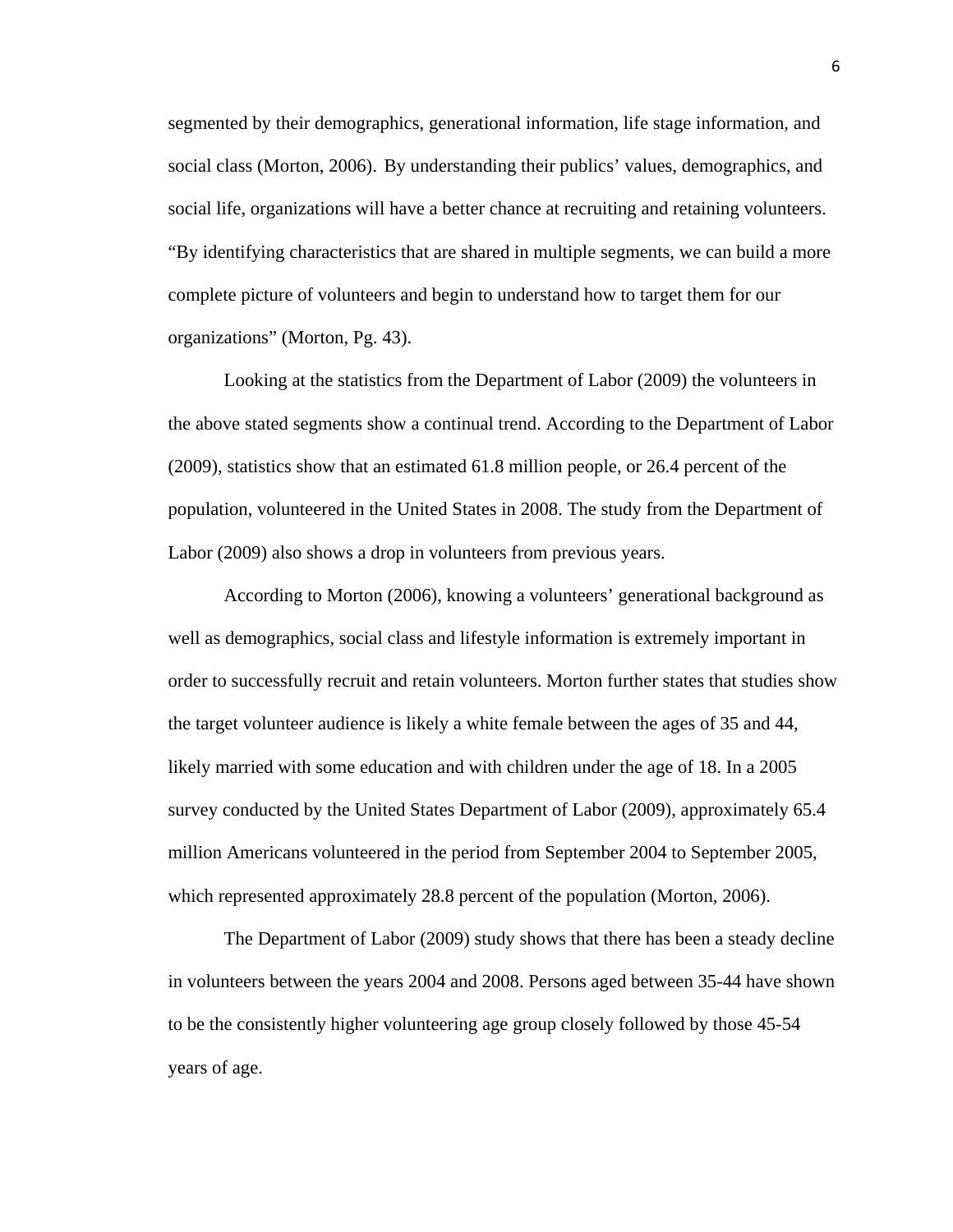segmented by their demographics, generational information, life stage information, and social class (Morton, 2006). By understanding their publics' values, demographics, and social life, organizations will have a better chance at recruiting and retaining volunteers. "By identifying characteristics that are shared in multiple segments, we can build a more complete picture of volunteers and begin to understand how to target them for our organizations" (Morton, Pg. 43).

Looking at the statistics from the Department of Labor (2009) the volunteers in the above stated segments show a continual trend. According to the Department of Labor (2009), statistics show that an estimated 61.8 million people, or 26.4 percent of the population, volunteered in the United States in 2008. The study from the Department of Labor (2009) also shows a drop in volunteers from previous years.

According to Morton (2006), knowing a volunteers' generational background as well as demographics, social class and lifestyle information is extremely important in order to successfully recruit and retain volunteers. Morton further states that studies show the target volunteer audience is likely a white female between the ages of 35 and 44, likely married with some education and with children under the age of 18. In a 2005 survey conducted by the United States Department of Labor (2009), approximately 65.4 million Americans volunteered in the period from September 2004 to September 2005, which represented approximately 28.8 percent of the population (Morton, 2006).

The Department of Labor (2009) study shows that there has been a steady decline in volunteers between the years 2004 and 2008. Persons aged between 35-44 have shown to be the consistently higher volunteering age group closely followed by those 45-54 years of age.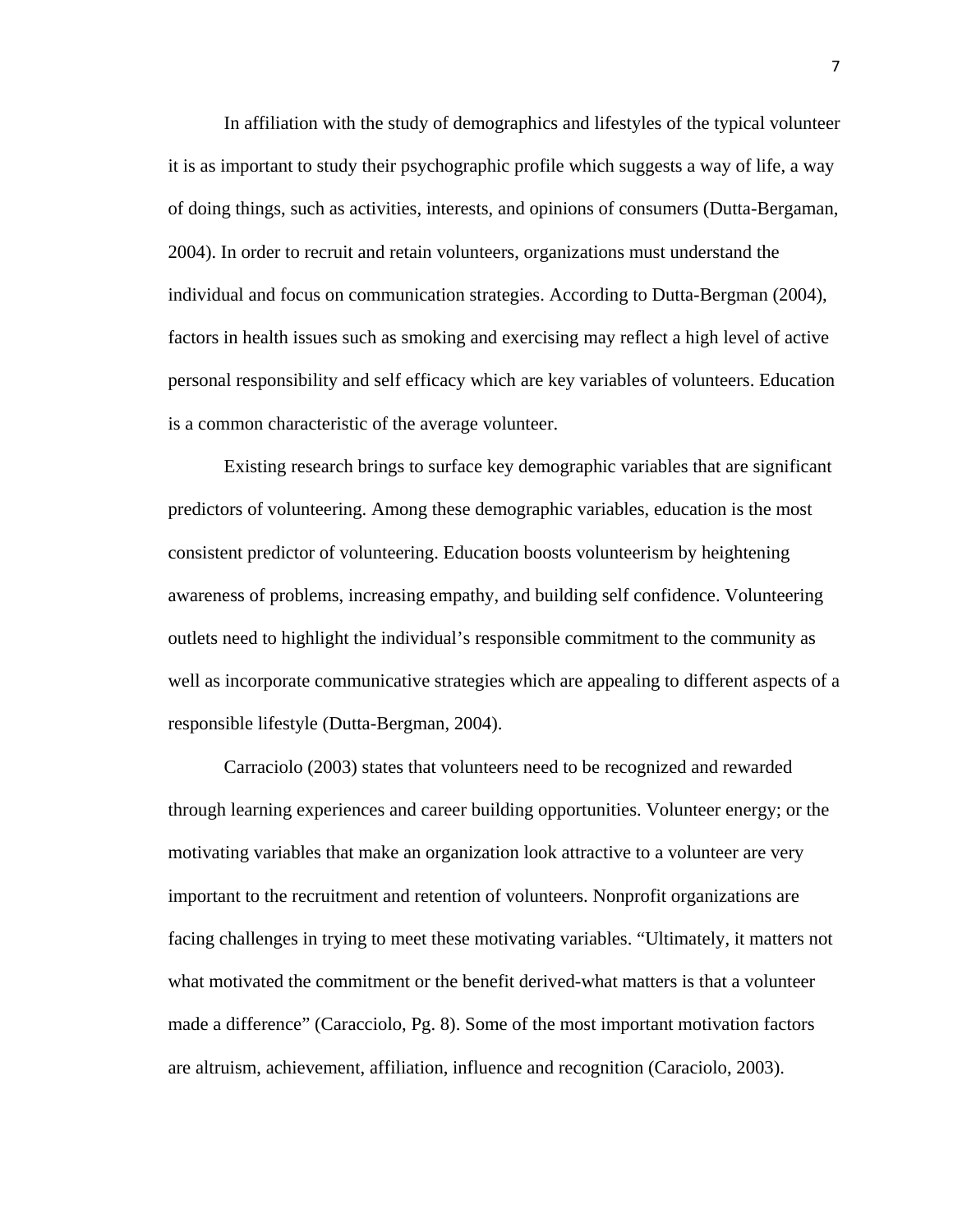In affiliation with the study of demographics and lifestyles of the typical volunteer it is as important to study their psychographic profile which suggests a way of life, a way of doing things, such as activities, interests, and opinions of consumers (Dutta-Bergaman, 2004). In order to recruit and retain volunteers, organizations must understand the individual and focus on communication strategies. According to Dutta-Bergman (2004), factors in health issues such as smoking and exercising may reflect a high level of active personal responsibility and self efficacy which are key variables of volunteers. Education is a common characteristic of the average volunteer.

Existing research brings to surface key demographic variables that are significant predictors of volunteering. Among these demographic variables, education is the most consistent predictor of volunteering. Education boosts volunteerism by heightening awareness of problems, increasing empathy, and building self confidence. Volunteering outlets need to highlight the individual's responsible commitment to the community as well as incorporate communicative strategies which are appealing to different aspects of a responsible lifestyle (Dutta-Bergman, 2004).

 Carraciolo (2003) states that volunteers need to be recognized and rewarded through learning experiences and career building opportunities. Volunteer energy; or the motivating variables that make an organization look attractive to a volunteer are very important to the recruitment and retention of volunteers. Nonprofit organizations are facing challenges in trying to meet these motivating variables. "Ultimately, it matters not what motivated the commitment or the benefit derived-what matters is that a volunteer made a difference" (Caracciolo, Pg. 8). Some of the most important motivation factors are altruism, achievement, affiliation, influence and recognition (Caraciolo, 2003).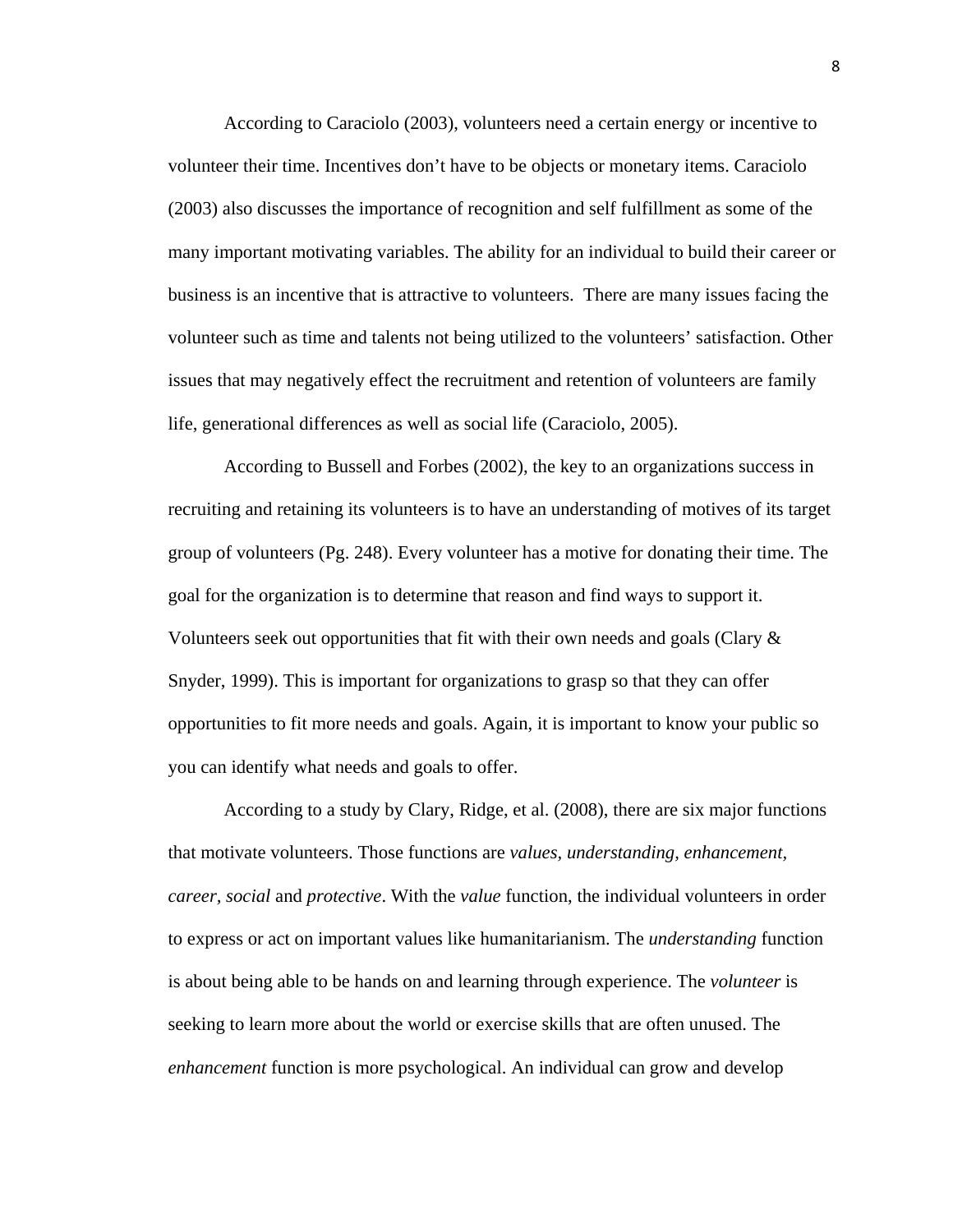According to Caraciolo (2003), volunteers need a certain energy or incentive to volunteer their time. Incentives don't have to be objects or monetary items. Caraciolo (2003) also discusses the importance of recognition and self fulfillment as some of the many important motivating variables. The ability for an individual to build their career or business is an incentive that is attractive to volunteers. There are many issues facing the volunteer such as time and talents not being utilized to the volunteers' satisfaction. Other issues that may negatively effect the recruitment and retention of volunteers are family life, generational differences as well as social life (Caraciolo, 2005).

 According to Bussell and Forbes (2002), the key to an organizations success in recruiting and retaining its volunteers is to have an understanding of motives of its target group of volunteers (Pg. 248). Every volunteer has a motive for donating their time. The goal for the organization is to determine that reason and find ways to support it. Volunteers seek out opportunities that fit with their own needs and goals (Clary  $\&$ Snyder, 1999). This is important for organizations to grasp so that they can offer opportunities to fit more needs and goals. Again, it is important to know your public so you can identify what needs and goals to offer.

According to a study by Clary, Ridge, et al. (2008), there are six major functions that motivate volunteers. Those functions are *values, understanding, enhancement, career, social* and *protective*. With the *value* function, the individual volunteers in order to express or act on important values like humanitarianism. The *understanding* function is about being able to be hands on and learning through experience. The *volunteer* is seeking to learn more about the world or exercise skills that are often unused. The *enhancement* function is more psychological. An individual can grow and develop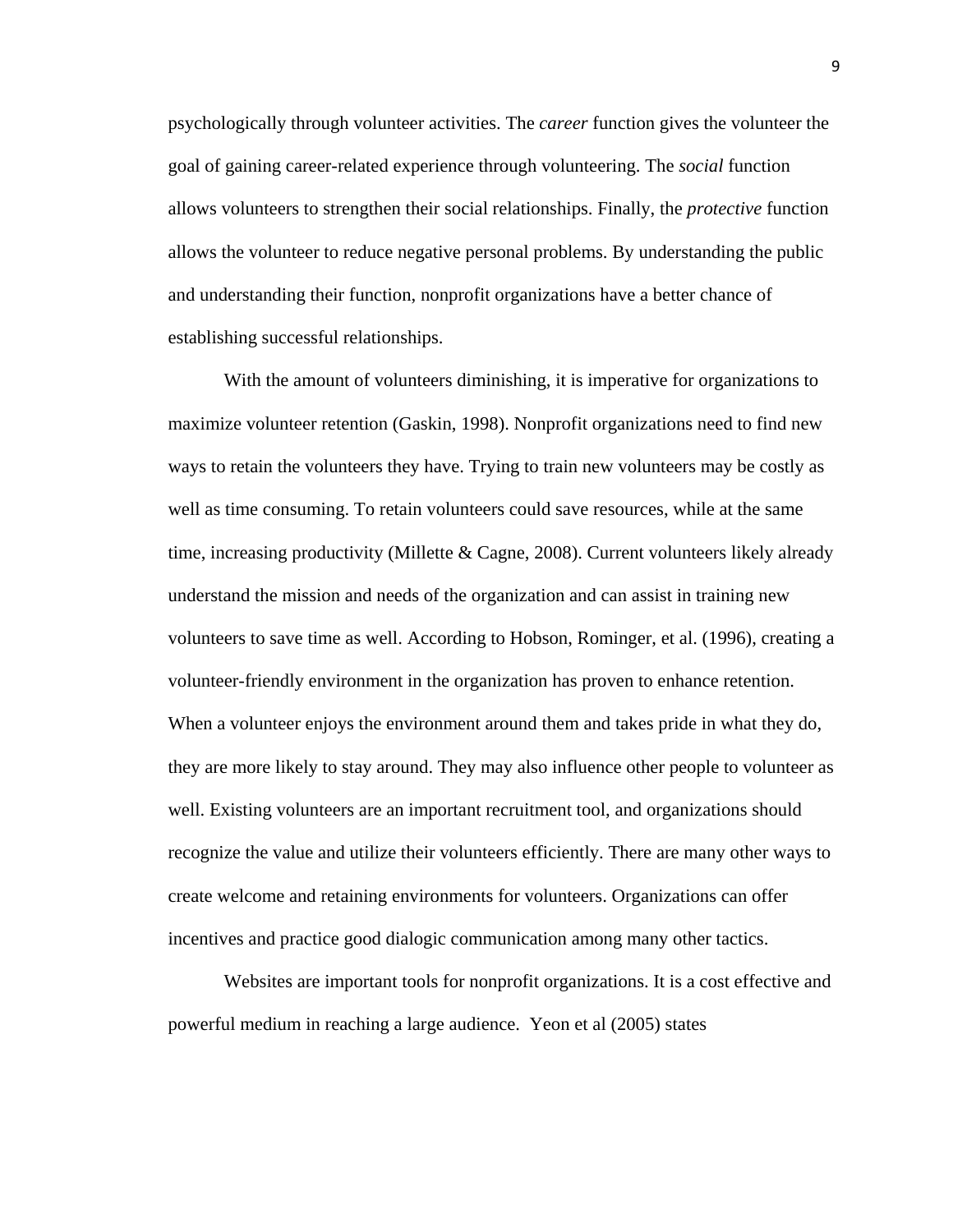psychologically through volunteer activities. The *career* function gives the volunteer the goal of gaining career-related experience through volunteering. The *social* function allows volunteers to strengthen their social relationships. Finally, the *protective* function allows the volunteer to reduce negative personal problems. By understanding the public and understanding their function, nonprofit organizations have a better chance of establishing successful relationships.

With the amount of volunteers diminishing, it is imperative for organizations to maximize volunteer retention (Gaskin, 1998). Nonprofit organizations need to find new ways to retain the volunteers they have. Trying to train new volunteers may be costly as well as time consuming. To retain volunteers could save resources, while at the same time, increasing productivity (Millette & Cagne, 2008). Current volunteers likely already understand the mission and needs of the organization and can assist in training new volunteers to save time as well. According to Hobson, Rominger, et al. (1996), creating a volunteer-friendly environment in the organization has proven to enhance retention. When a volunteer enjoys the environment around them and takes pride in what they do, they are more likely to stay around. They may also influence other people to volunteer as well. Existing volunteers are an important recruitment tool, and organizations should recognize the value and utilize their volunteers efficiently. There are many other ways to create welcome and retaining environments for volunteers. Organizations can offer incentives and practice good dialogic communication among many other tactics.

 Websites are important tools for nonprofit organizations. It is a cost effective and powerful medium in reaching a large audience. Yeon et al (2005) states

9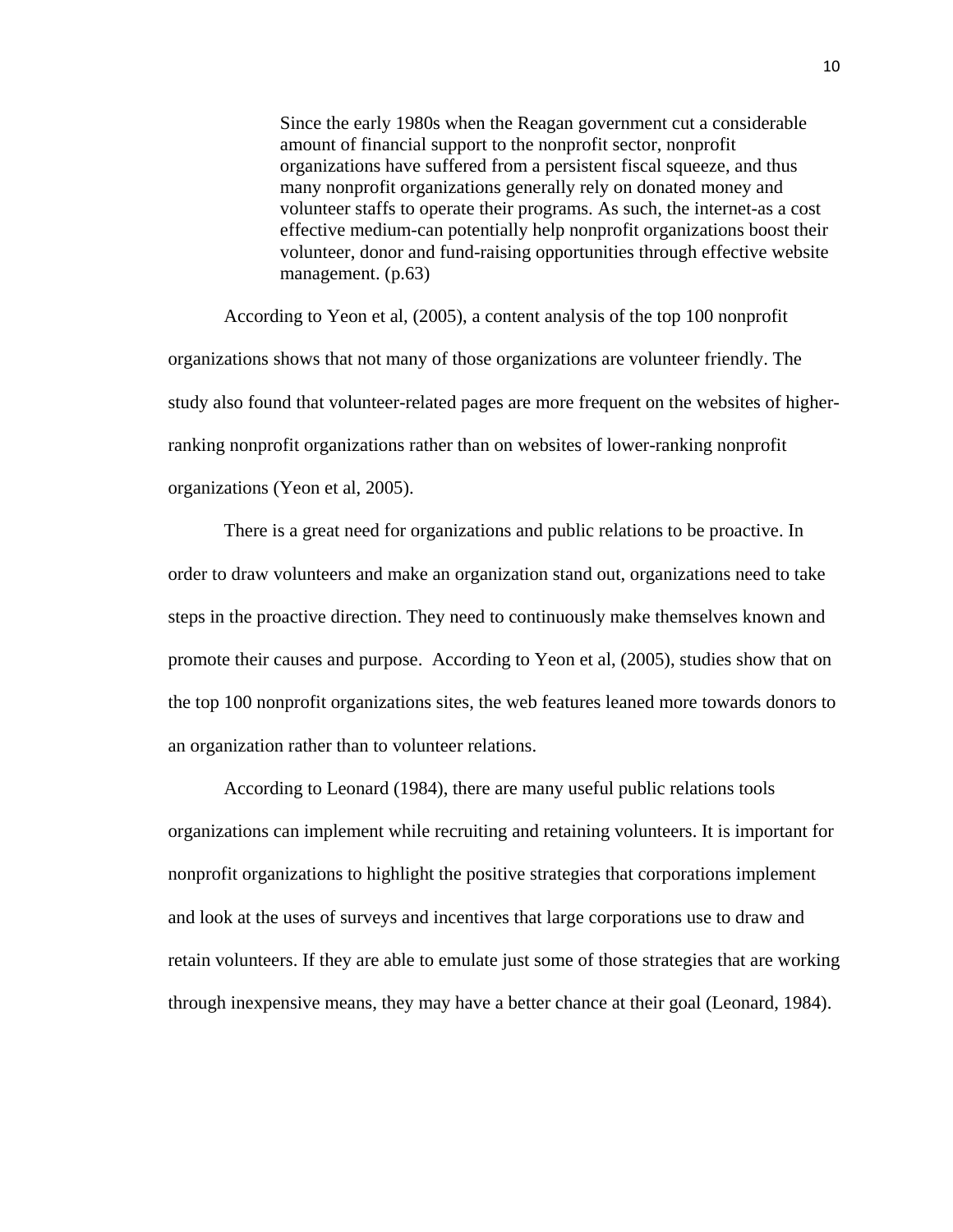Since the early 1980s when the Reagan government cut a considerable amount of financial support to the nonprofit sector, nonprofit organizations have suffered from a persistent fiscal squeeze, and thus many nonprofit organizations generally rely on donated money and volunteer staffs to operate their programs. As such, the internet-as a cost effective medium-can potentially help nonprofit organizations boost their volunteer, donor and fund-raising opportunities through effective website management. (p.63)

According to Yeon et al, (2005), a content analysis of the top 100 nonprofit organizations shows that not many of those organizations are volunteer friendly. The study also found that volunteer-related pages are more frequent on the websites of higherranking nonprofit organizations rather than on websites of lower-ranking nonprofit organizations (Yeon et al, 2005).

There is a great need for organizations and public relations to be proactive. In order to draw volunteers and make an organization stand out, organizations need to take steps in the proactive direction. They need to continuously make themselves known and promote their causes and purpose. According to Yeon et al, (2005), studies show that on the top 100 nonprofit organizations sites, the web features leaned more towards donors to an organization rather than to volunteer relations.

According to Leonard (1984), there are many useful public relations tools organizations can implement while recruiting and retaining volunteers. It is important for nonprofit organizations to highlight the positive strategies that corporations implement and look at the uses of surveys and incentives that large corporations use to draw and retain volunteers. If they are able to emulate just some of those strategies that are working through inexpensive means, they may have a better chance at their goal (Leonard, 1984).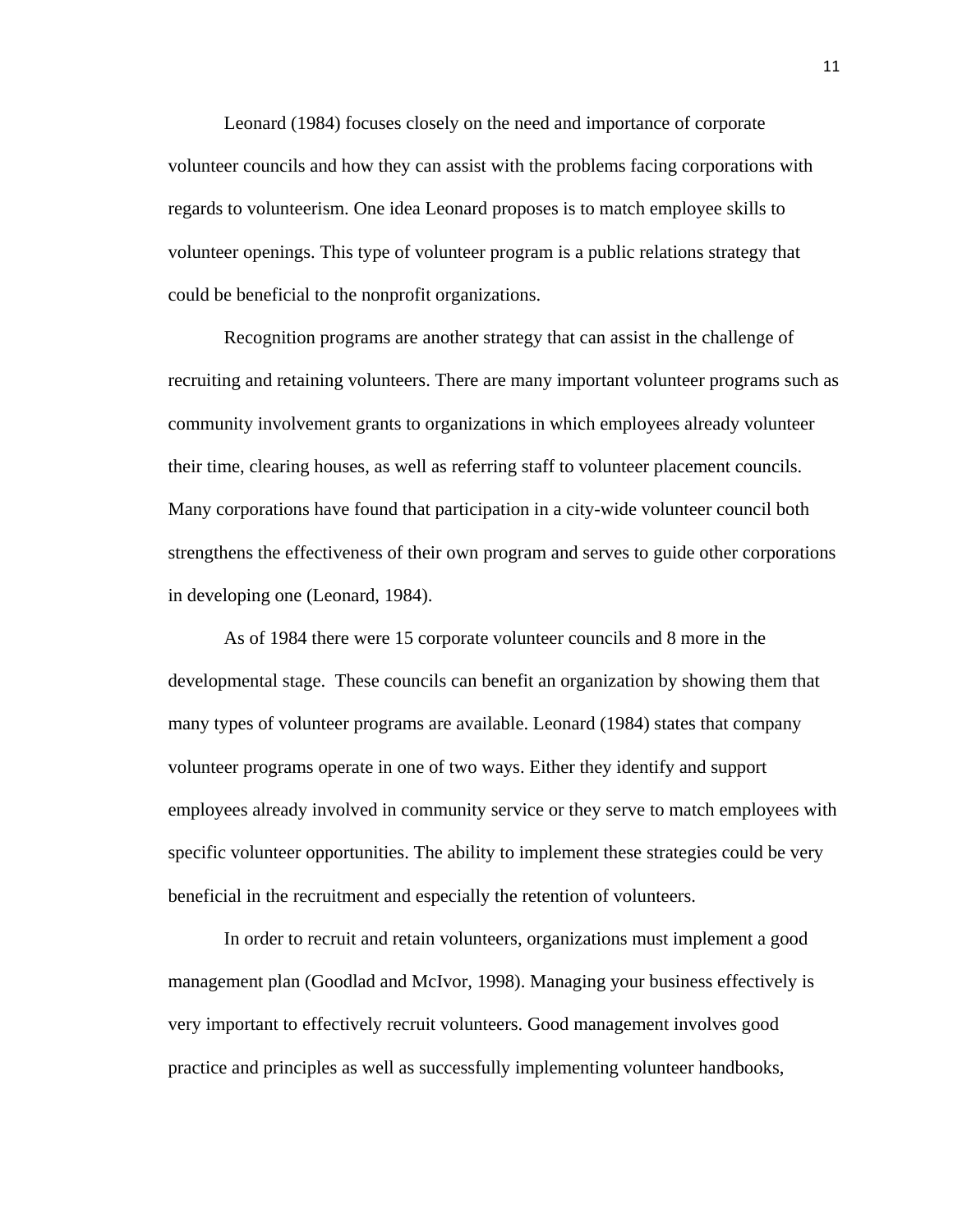Leonard (1984) focuses closely on the need and importance of corporate volunteer councils and how they can assist with the problems facing corporations with regards to volunteerism. One idea Leonard proposes is to match employee skills to volunteer openings. This type of volunteer program is a public relations strategy that could be beneficial to the nonprofit organizations.

Recognition programs are another strategy that can assist in the challenge of recruiting and retaining volunteers. There are many important volunteer programs such as community involvement grants to organizations in which employees already volunteer their time, clearing houses, as well as referring staff to volunteer placement councils. Many corporations have found that participation in a city-wide volunteer council both strengthens the effectiveness of their own program and serves to guide other corporations in developing one (Leonard, 1984).

As of 1984 there were 15 corporate volunteer councils and 8 more in the developmental stage. These councils can benefit an organization by showing them that many types of volunteer programs are available. Leonard (1984) states that company volunteer programs operate in one of two ways. Either they identify and support employees already involved in community service or they serve to match employees with specific volunteer opportunities. The ability to implement these strategies could be very beneficial in the recruitment and especially the retention of volunteers.

In order to recruit and retain volunteers, organizations must implement a good management plan (Goodlad and McIvor, 1998). Managing your business effectively is very important to effectively recruit volunteers. Good management involves good practice and principles as well as successfully implementing volunteer handbooks,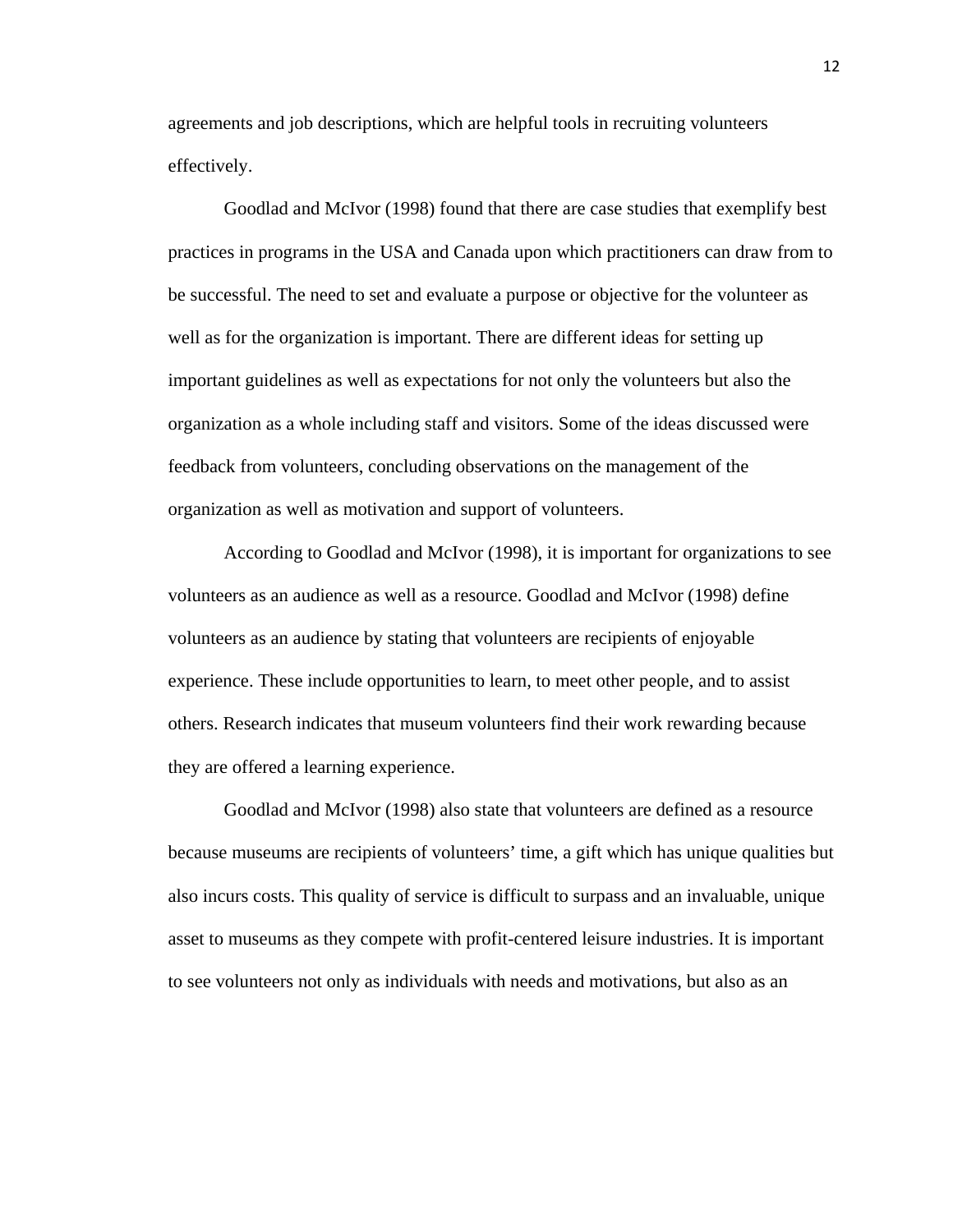agreements and job descriptions, which are helpful tools in recruiting volunteers effectively.

Goodlad and McIvor (1998) found that there are case studies that exemplify best practices in programs in the USA and Canada upon which practitioners can draw from to be successful. The need to set and evaluate a purpose or objective for the volunteer as well as for the organization is important. There are different ideas for setting up important guidelines as well as expectations for not only the volunteers but also the organization as a whole including staff and visitors. Some of the ideas discussed were feedback from volunteers, concluding observations on the management of the organization as well as motivation and support of volunteers.

According to Goodlad and McIvor (1998), it is important for organizations to see volunteers as an audience as well as a resource. Goodlad and McIvor (1998) define volunteers as an audience by stating that volunteers are recipients of enjoyable experience. These include opportunities to learn, to meet other people, and to assist others. Research indicates that museum volunteers find their work rewarding because they are offered a learning experience.

Goodlad and McIvor (1998) also state that volunteers are defined as a resource because museums are recipients of volunteers' time, a gift which has unique qualities but also incurs costs. This quality of service is difficult to surpass and an invaluable, unique asset to museums as they compete with profit-centered leisure industries. It is important to see volunteers not only as individuals with needs and motivations, but also as an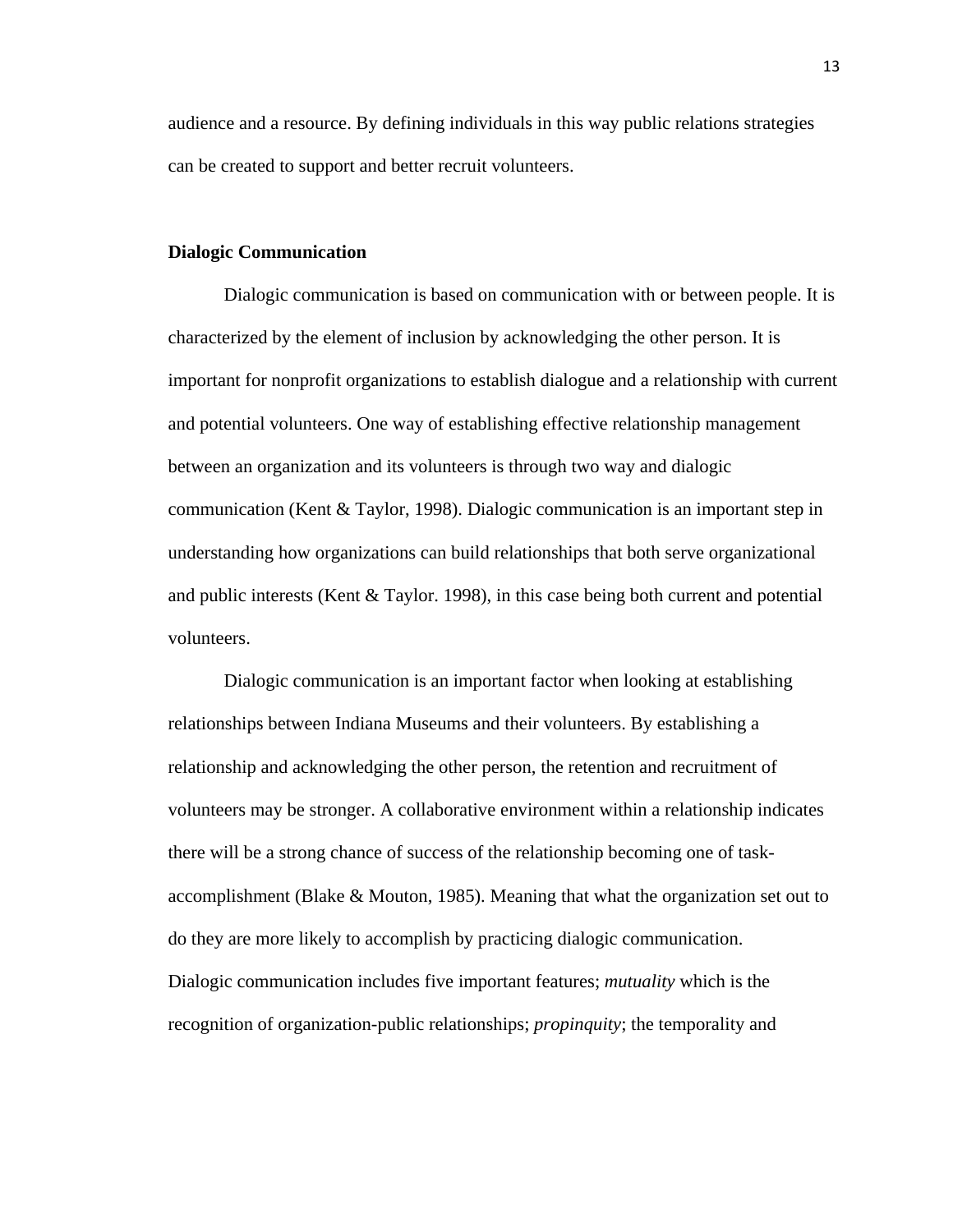audience and a resource. By defining individuals in this way public relations strategies can be created to support and better recruit volunteers.

#### **Dialogic Communication**

Dialogic communication is based on communication with or between people. It is characterized by the element of inclusion by acknowledging the other person. It is important for nonprofit organizations to establish dialogue and a relationship with current and potential volunteers. One way of establishing effective relationship management between an organization and its volunteers is through two way and dialogic communication (Kent & Taylor, 1998). Dialogic communication is an important step in understanding how organizations can build relationships that both serve organizational and public interests (Kent  $& Taylor. 1998$ ), in this case being both current and potential volunteers.

Dialogic communication is an important factor when looking at establishing relationships between Indiana Museums and their volunteers. By establishing a relationship and acknowledging the other person, the retention and recruitment of volunteers may be stronger. A collaborative environment within a relationship indicates there will be a strong chance of success of the relationship becoming one of taskaccomplishment (Blake & Mouton, 1985). Meaning that what the organization set out to do they are more likely to accomplish by practicing dialogic communication. Dialogic communication includes five important features; *mutuality* which is the recognition of organization-public relationships; *propinquity*; the temporality and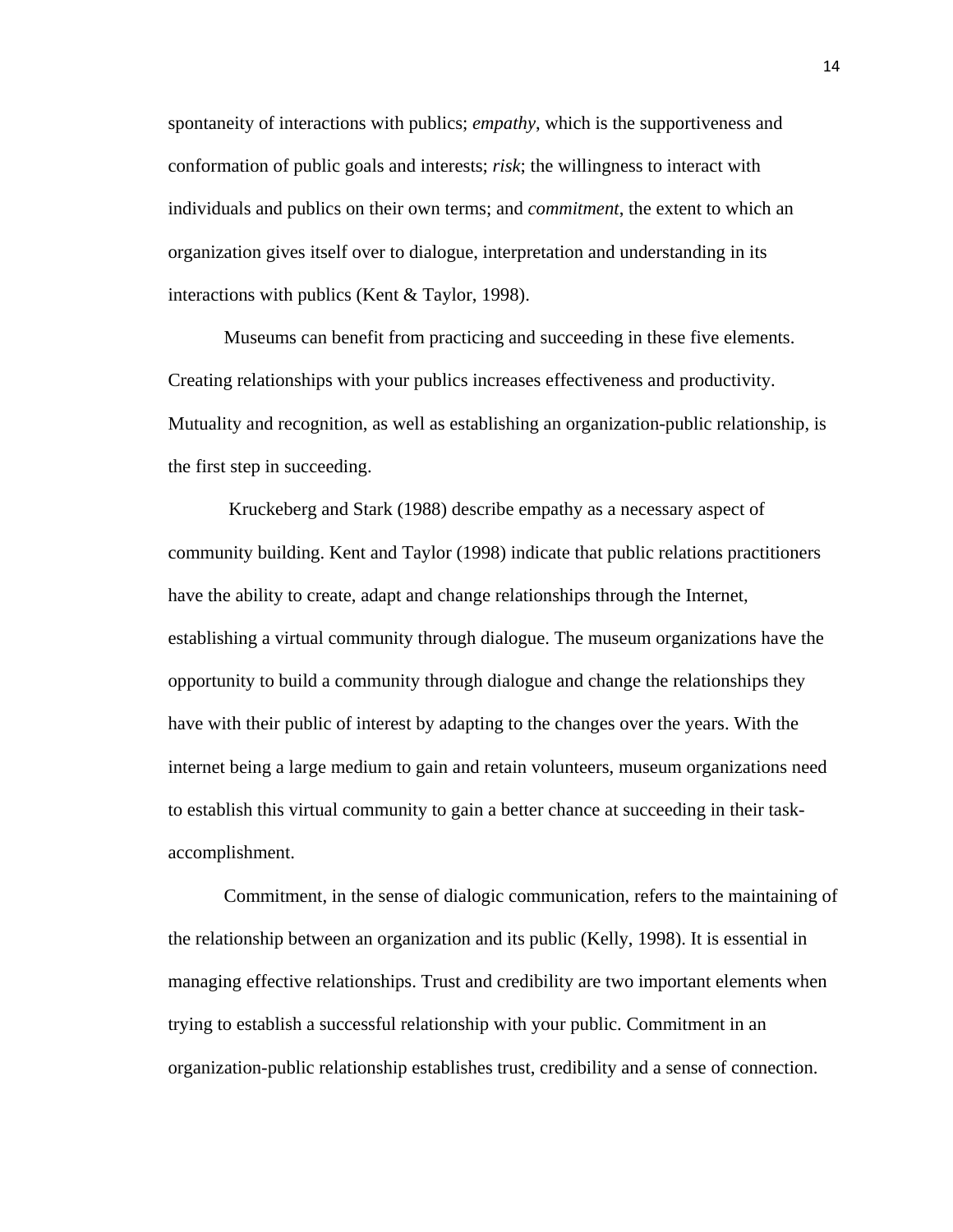spontaneity of interactions with publics; *empathy*, which is the supportiveness and conformation of public goals and interests; *risk*; the willingness to interact with individuals and publics on their own terms; and *commitment*, the extent to which an organization gives itself over to dialogue, interpretation and understanding in its interactions with publics (Kent & Taylor, 1998).

Museums can benefit from practicing and succeeding in these five elements. Creating relationships with your publics increases effectiveness and productivity. Mutuality and recognition, as well as establishing an organization-public relationship, is the first step in succeeding.

 Kruckeberg and Stark (1988) describe empathy as a necessary aspect of community building. Kent and Taylor (1998) indicate that public relations practitioners have the ability to create, adapt and change relationships through the Internet, establishing a virtual community through dialogue. The museum organizations have the opportunity to build a community through dialogue and change the relationships they have with their public of interest by adapting to the changes over the years. With the internet being a large medium to gain and retain volunteers, museum organizations need to establish this virtual community to gain a better chance at succeeding in their taskaccomplishment.

Commitment, in the sense of dialogic communication, refers to the maintaining of the relationship between an organization and its public (Kelly, 1998). It is essential in managing effective relationships. Trust and credibility are two important elements when trying to establish a successful relationship with your public. Commitment in an organization-public relationship establishes trust, credibility and a sense of connection.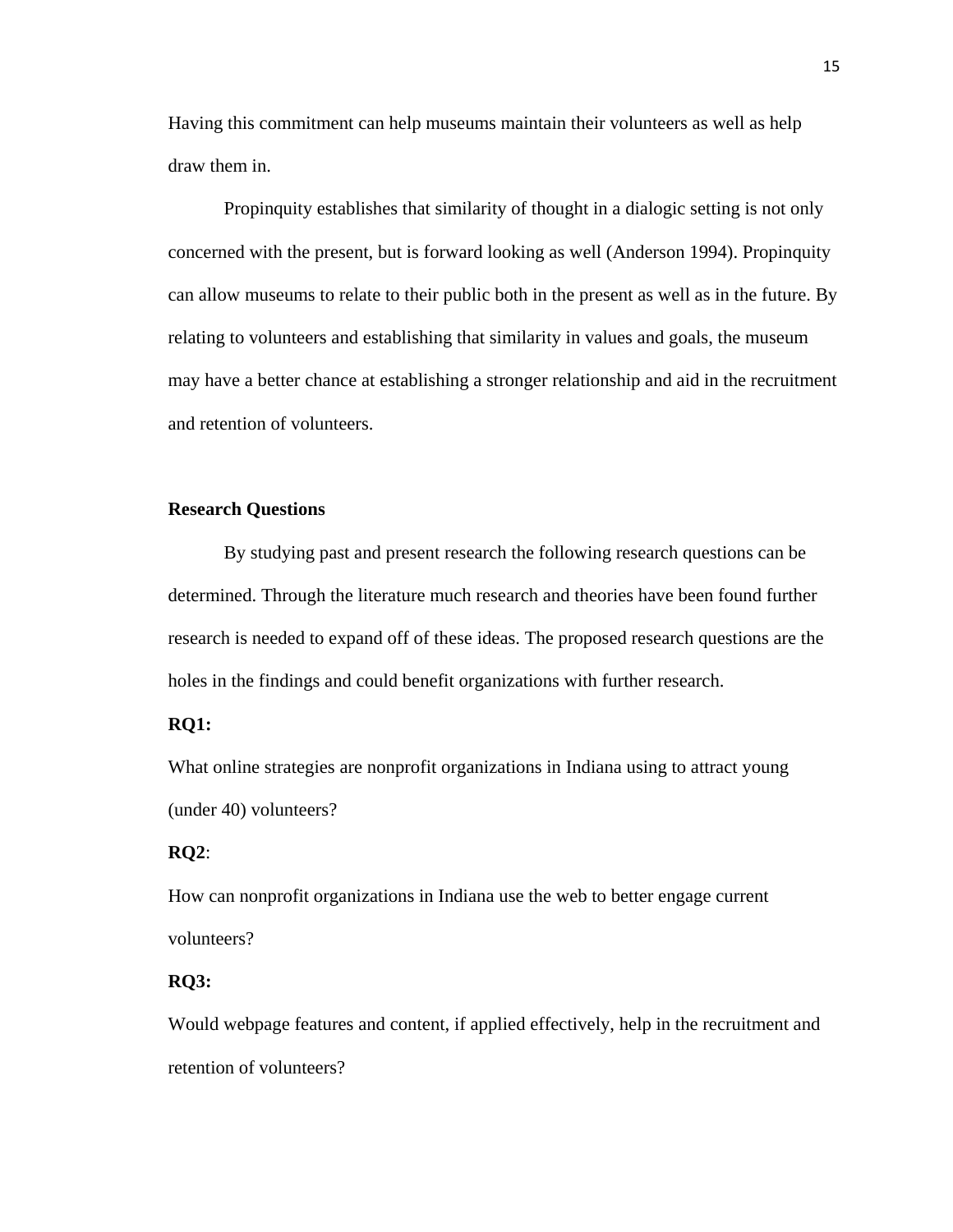Having this commitment can help museums maintain their volunteers as well as help draw them in.

Propinquity establishes that similarity of thought in a dialogic setting is not only concerned with the present, but is forward looking as well (Anderson 1994). Propinquity can allow museums to relate to their public both in the present as well as in the future. By relating to volunteers and establishing that similarity in values and goals, the museum may have a better chance at establishing a stronger relationship and aid in the recruitment and retention of volunteers.

#### **Research Questions**

By studying past and present research the following research questions can be determined. Through the literature much research and theories have been found further research is needed to expand off of these ideas. The proposed research questions are the holes in the findings and could benefit organizations with further research.

#### **RQ1:**

What online strategies are nonprofit organizations in Indiana using to attract young (under 40) volunteers?

#### **RQ2**:

How can nonprofit organizations in Indiana use the web to better engage current volunteers?

#### **RQ3:**

Would webpage features and content, if applied effectively, help in the recruitment and retention of volunteers?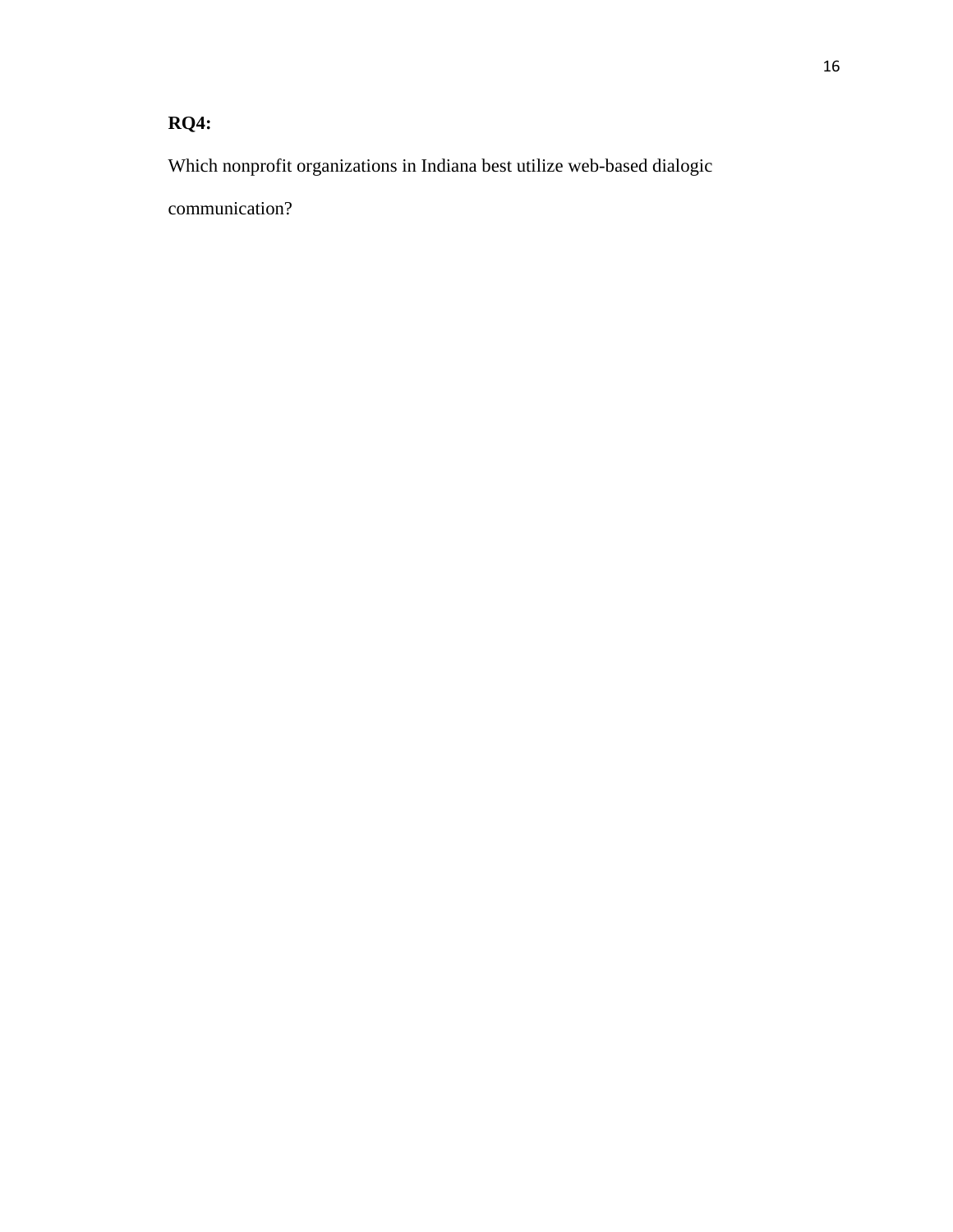# **RQ4:**

Which nonprofit organizations in Indiana best utilize web-based dialogic

communication?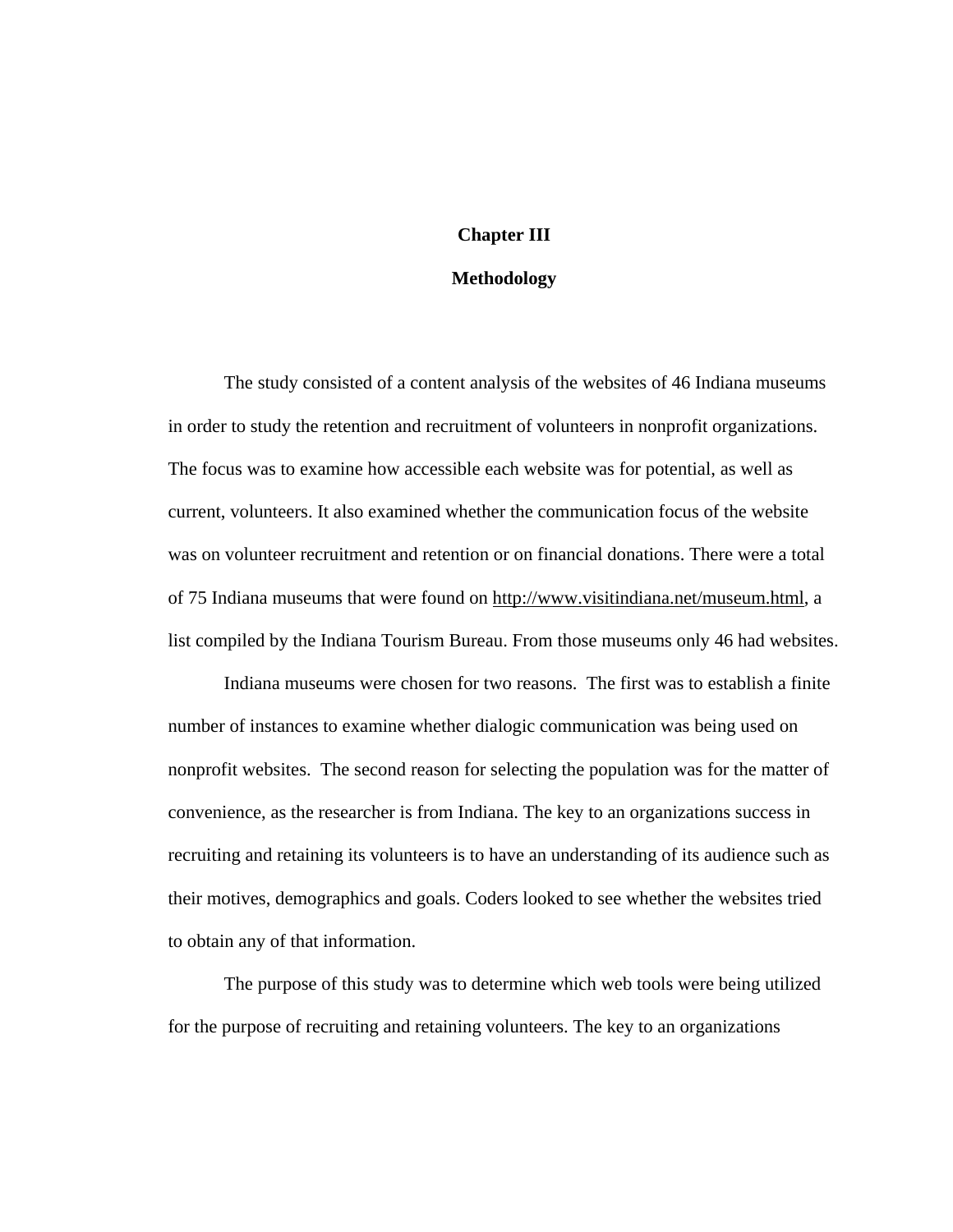### **Chapter III**

#### **Methodology**

 The study consisted of a content analysis of the websites of 46 Indiana museums in order to study the retention and recruitment of volunteers in nonprofit organizations. The focus was to examine how accessible each website was for potential, as well as current, volunteers. It also examined whether the communication focus of the website was on volunteer recruitment and retention or on financial donations. There were a total of 75 Indiana museums that were found on [http://www.visitindiana.net/museum.html,](http://www.visitindiana.net/museum.html) a list compiled by the Indiana Tourism Bureau. From those museums only 46 had websites.

 Indiana museums were chosen for two reasons. The first was to establish a finite number of instances to examine whether dialogic communication was being used on nonprofit websites. The second reason for selecting the population was for the matter of convenience, as the researcher is from Indiana. The key to an organizations success in recruiting and retaining its volunteers is to have an understanding of its audience such as their motives, demographics and goals. Coders looked to see whether the websites tried to obtain any of that information.

 The purpose of this study was to determine which web tools were being utilized for the purpose of recruiting and retaining volunteers. The key to an organizations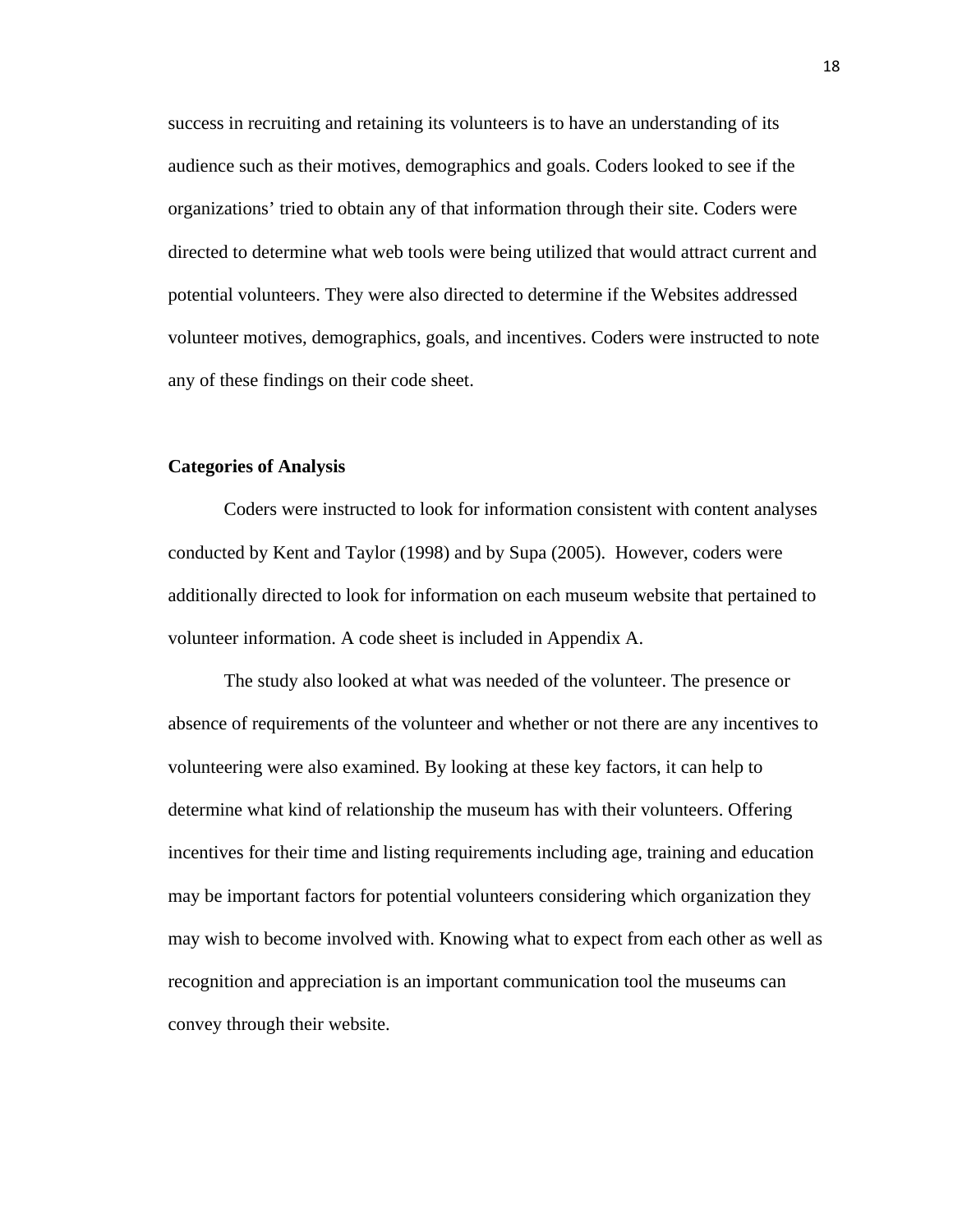success in recruiting and retaining its volunteers is to have an understanding of its audience such as their motives, demographics and goals. Coders looked to see if the organizations' tried to obtain any of that information through their site. Coders were directed to determine what web tools were being utilized that would attract current and potential volunteers. They were also directed to determine if the Websites addressed volunteer motives, demographics, goals, and incentives. Coders were instructed to note any of these findings on their code sheet.

#### **Categories of Analysis**

Coders were instructed to look for information consistent with content analyses conducted by Kent and Taylor (1998) and by Supa (2005). However, coders were additionally directed to look for information on each museum website that pertained to volunteer information. A code sheet is included in Appendix A.

The study also looked at what was needed of the volunteer. The presence or absence of requirements of the volunteer and whether or not there are any incentives to volunteering were also examined. By looking at these key factors, it can help to determine what kind of relationship the museum has with their volunteers. Offering incentives for their time and listing requirements including age, training and education may be important factors for potential volunteers considering which organization they may wish to become involved with. Knowing what to expect from each other as well as recognition and appreciation is an important communication tool the museums can convey through their website.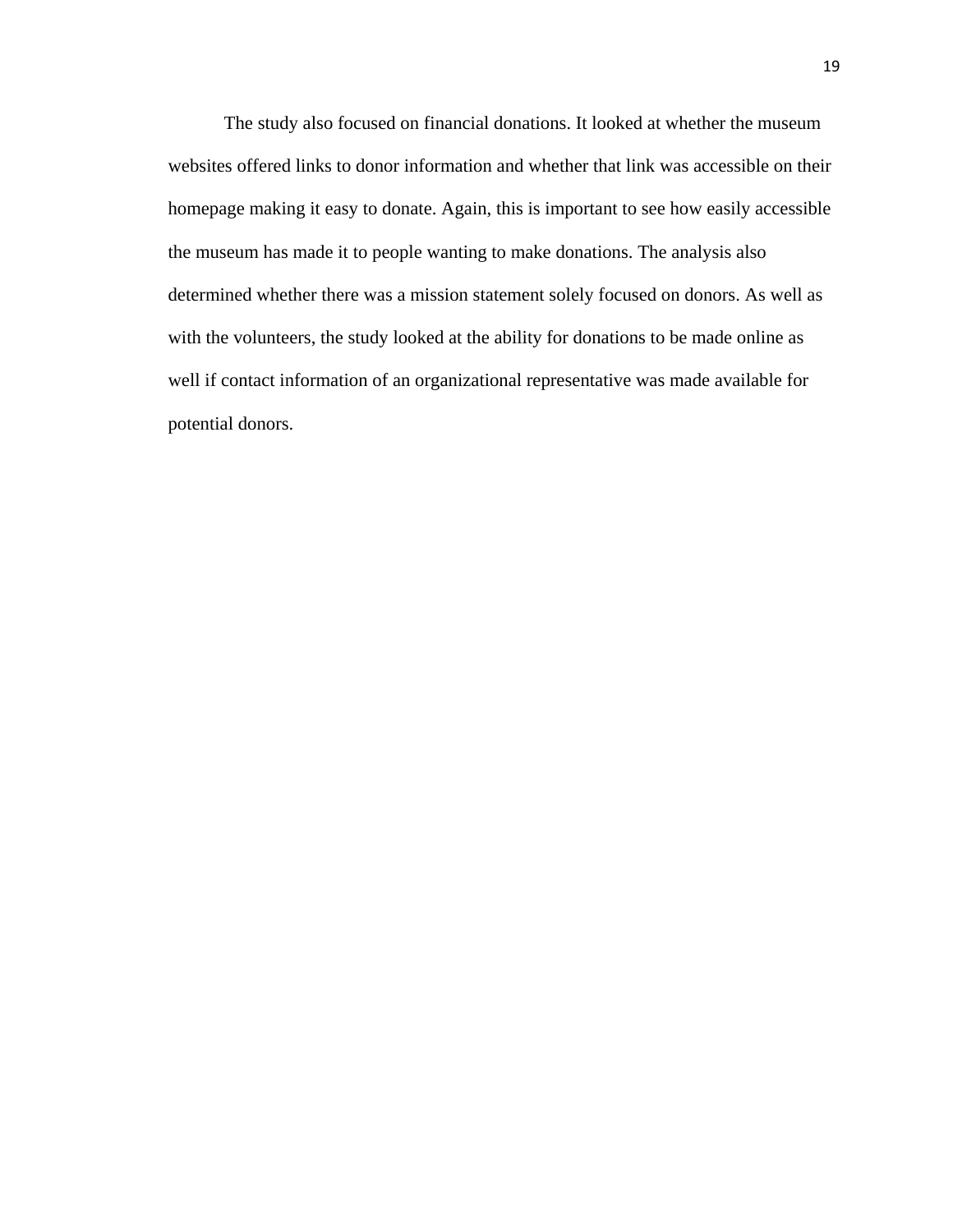The study also focused on financial donations. It looked at whether the museum websites offered links to donor information and whether that link was accessible on their homepage making it easy to donate. Again, this is important to see how easily accessible the museum has made it to people wanting to make donations. The analysis also determined whether there was a mission statement solely focused on donors. As well as with the volunteers, the study looked at the ability for donations to be made online as well if contact information of an organizational representative was made available for potential donors.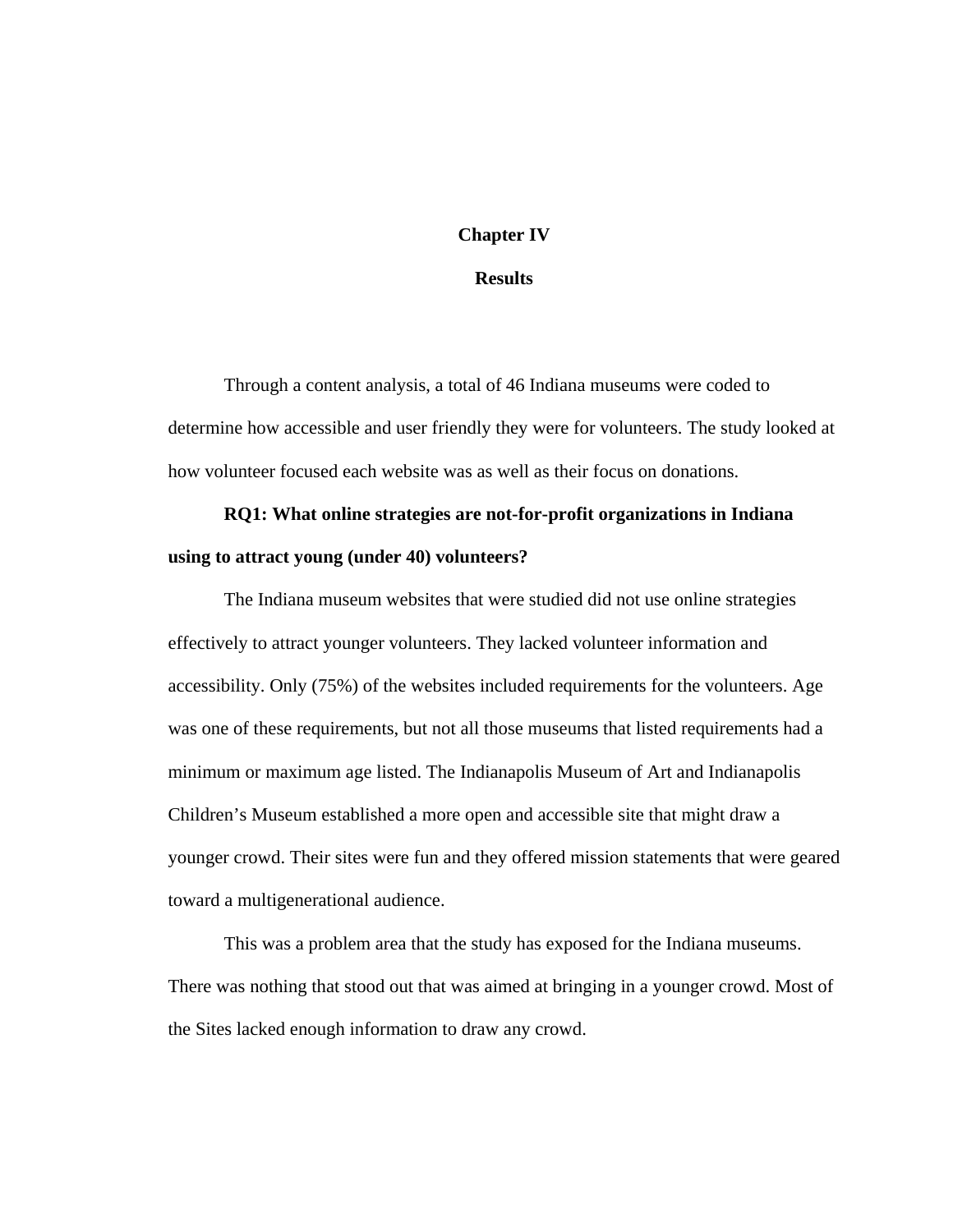### **Chapter IV**

#### **Results**

Through a content analysis, a total of 46 Indiana museums were coded to determine how accessible and user friendly they were for volunteers. The study looked at how volunteer focused each website was as well as their focus on donations.

# **RQ1: What online strategies are not-for-profit organizations in Indiana using to attract young (under 40) volunteers?**

The Indiana museum websites that were studied did not use online strategies effectively to attract younger volunteers. They lacked volunteer information and accessibility. Only (75%) of the websites included requirements for the volunteers. Age was one of these requirements, but not all those museums that listed requirements had a minimum or maximum age listed. The Indianapolis Museum of Art and Indianapolis Children's Museum established a more open and accessible site that might draw a younger crowd. Their sites were fun and they offered mission statements that were geared toward a multigenerational audience.

This was a problem area that the study has exposed for the Indiana museums. There was nothing that stood out that was aimed at bringing in a younger crowd. Most of the Sites lacked enough information to draw any crowd.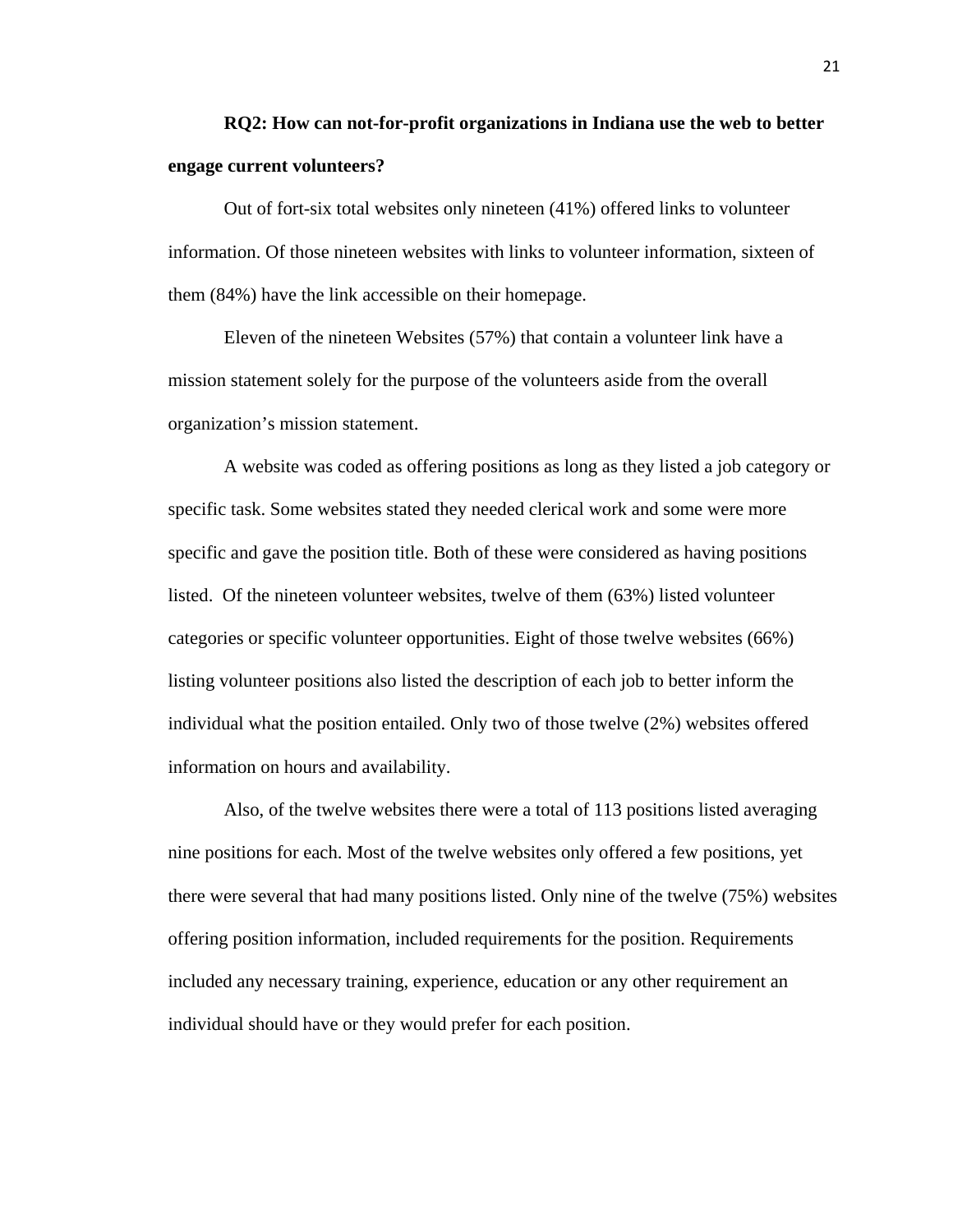# **RQ2: How can not-for-profit organizations in Indiana use the web to better engage current volunteers?**

Out of fort-six total websites only nineteen (41%) offered links to volunteer information. Of those nineteen websites with links to volunteer information, sixteen of them (84%) have the link accessible on their homepage.

Eleven of the nineteen Websites (57%) that contain a volunteer link have a mission statement solely for the purpose of the volunteers aside from the overall organization's mission statement.

A website was coded as offering positions as long as they listed a job category or specific task. Some websites stated they needed clerical work and some were more specific and gave the position title. Both of these were considered as having positions listed. Of the nineteen volunteer websites, twelve of them (63%) listed volunteer categories or specific volunteer opportunities. Eight of those twelve websites (66%) listing volunteer positions also listed the description of each job to better inform the individual what the position entailed. Only two of those twelve (2%) websites offered information on hours and availability.

Also, of the twelve websites there were a total of 113 positions listed averaging nine positions for each. Most of the twelve websites only offered a few positions, yet there were several that had many positions listed. Only nine of the twelve (75%) websites offering position information, included requirements for the position. Requirements included any necessary training, experience, education or any other requirement an individual should have or they would prefer for each position.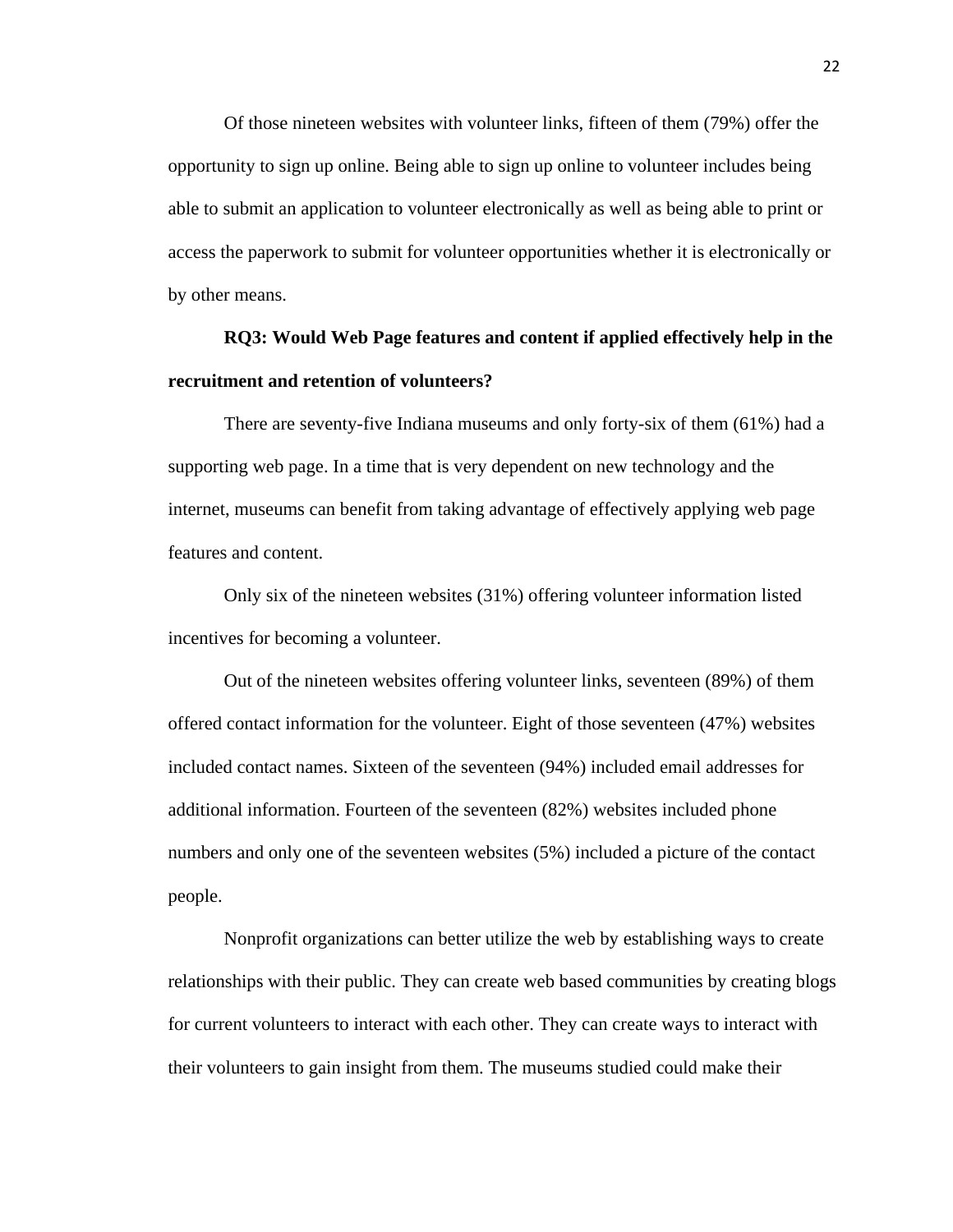Of those nineteen websites with volunteer links, fifteen of them (79%) offer the opportunity to sign up online. Being able to sign up online to volunteer includes being able to submit an application to volunteer electronically as well as being able to print or access the paperwork to submit for volunteer opportunities whether it is electronically or by other means.

# **RQ3: Would Web Page features and content if applied effectively help in the recruitment and retention of volunteers?**

There are seventy-five Indiana museums and only forty-six of them (61%) had a supporting web page. In a time that is very dependent on new technology and the internet, museums can benefit from taking advantage of effectively applying web page features and content.

Only six of the nineteen websites (31%) offering volunteer information listed incentives for becoming a volunteer.

Out of the nineteen websites offering volunteer links, seventeen (89%) of them offered contact information for the volunteer. Eight of those seventeen (47%) websites included contact names. Sixteen of the seventeen (94%) included email addresses for additional information. Fourteen of the seventeen (82%) websites included phone numbers and only one of the seventeen websites (5%) included a picture of the contact people.

Nonprofit organizations can better utilize the web by establishing ways to create relationships with their public. They can create web based communities by creating blogs for current volunteers to interact with each other. They can create ways to interact with their volunteers to gain insight from them. The museums studied could make their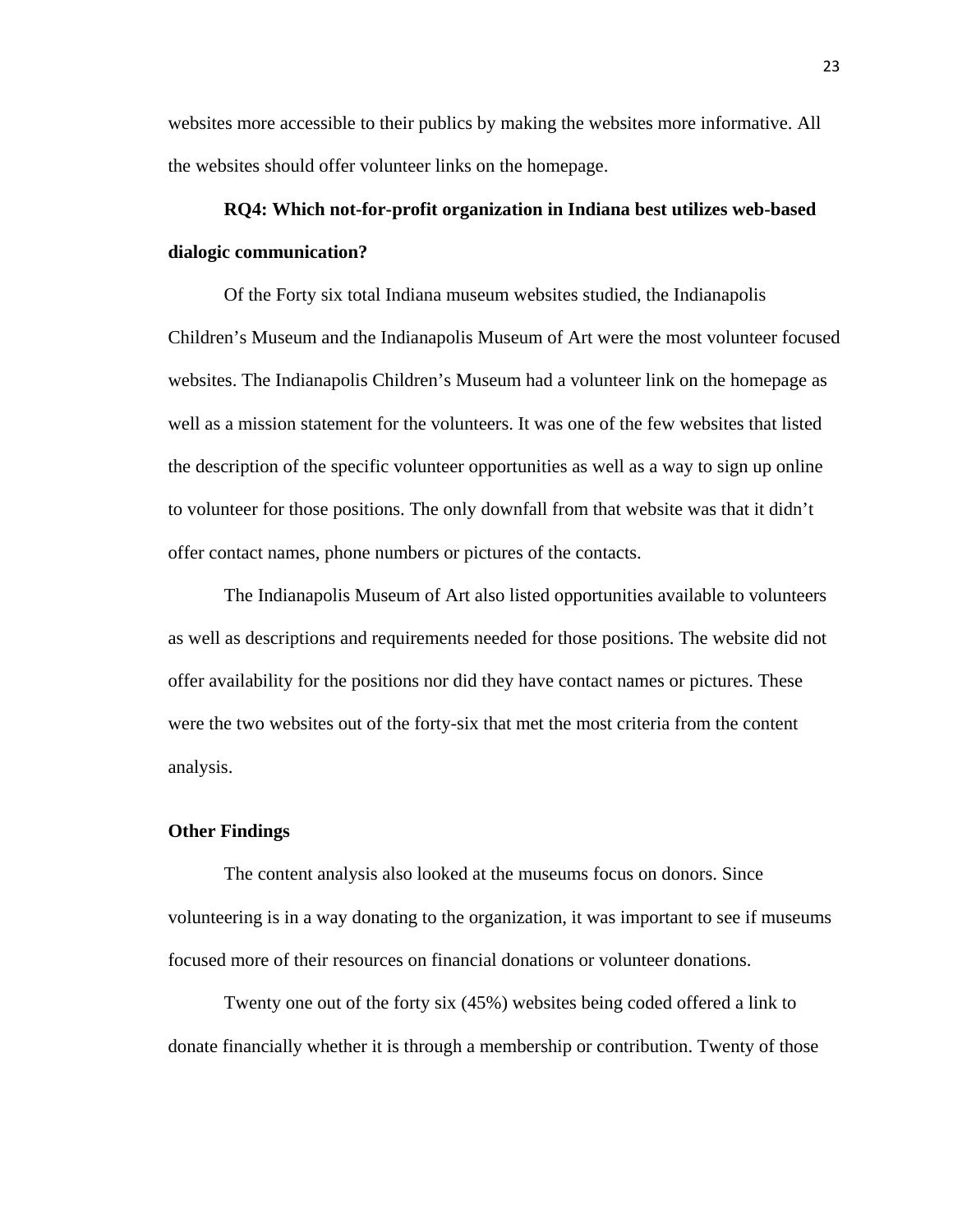websites more accessible to their publics by making the websites more informative. All the websites should offer volunteer links on the homepage.

# **RQ4: Which not-for-profit organization in Indiana best utilizes web-based dialogic communication?**

Of the Forty six total Indiana museum websites studied, the Indianapolis Children's Museum and the Indianapolis Museum of Art were the most volunteer focused websites. The Indianapolis Children's Museum had a volunteer link on the homepage as well as a mission statement for the volunteers. It was one of the few websites that listed the description of the specific volunteer opportunities as well as a way to sign up online to volunteer for those positions. The only downfall from that website was that it didn't offer contact names, phone numbers or pictures of the contacts.

The Indianapolis Museum of Art also listed opportunities available to volunteers as well as descriptions and requirements needed for those positions. The website did not offer availability for the positions nor did they have contact names or pictures. These were the two websites out of the forty-six that met the most criteria from the content analysis.

#### **Other Findings**

The content analysis also looked at the museums focus on donors. Since volunteering is in a way donating to the organization, it was important to see if museums focused more of their resources on financial donations or volunteer donations.

Twenty one out of the forty six (45%) websites being coded offered a link to donate financially whether it is through a membership or contribution. Twenty of those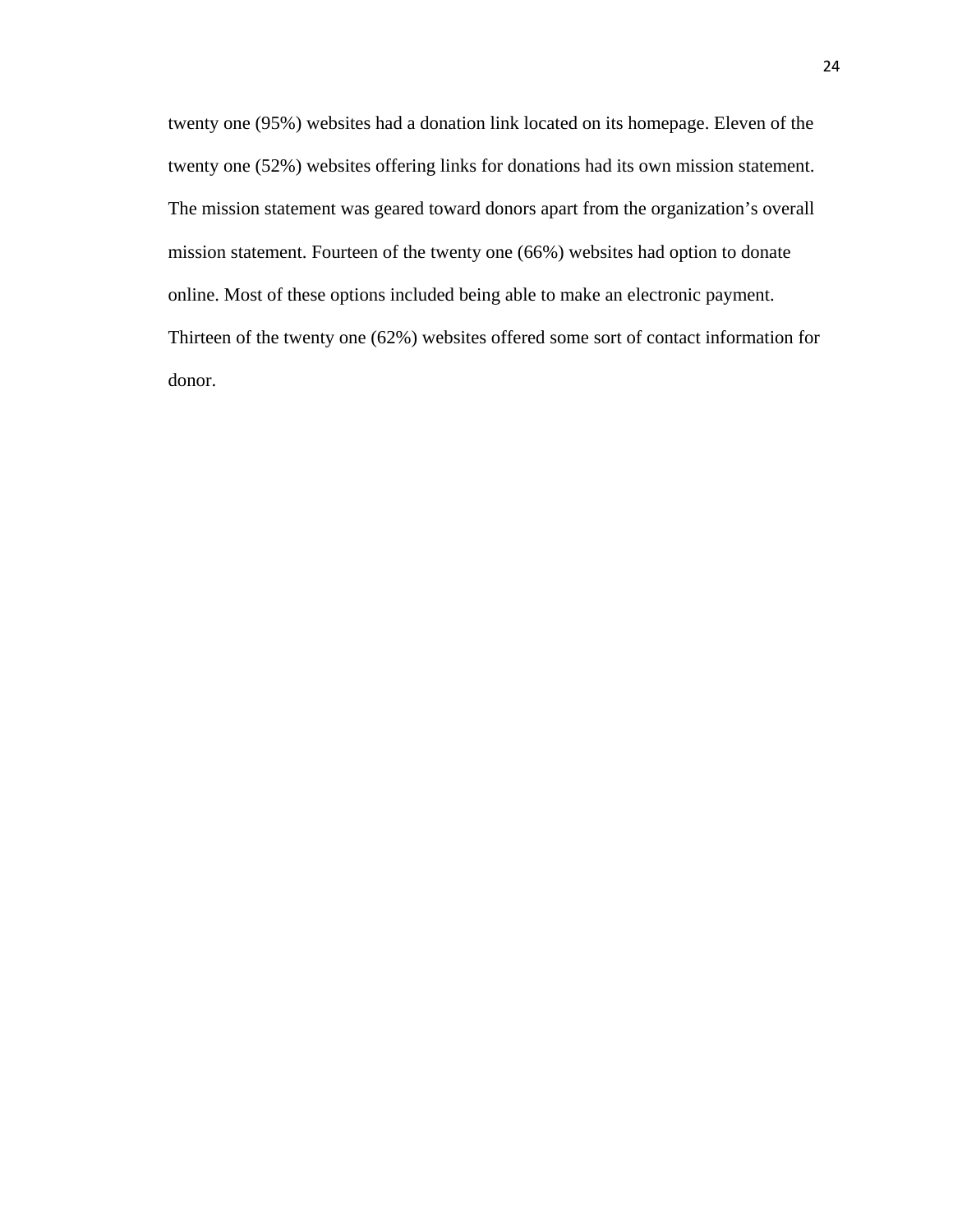twenty one (95%) websites had a donation link located on its homepage. Eleven of the twenty one (52%) websites offering links for donations had its own mission statement. The mission statement was geared toward donors apart from the organization's overall mission statement. Fourteen of the twenty one (66%) websites had option to donate online. Most of these options included being able to make an electronic payment. Thirteen of the twenty one (62%) websites offered some sort of contact information for donor.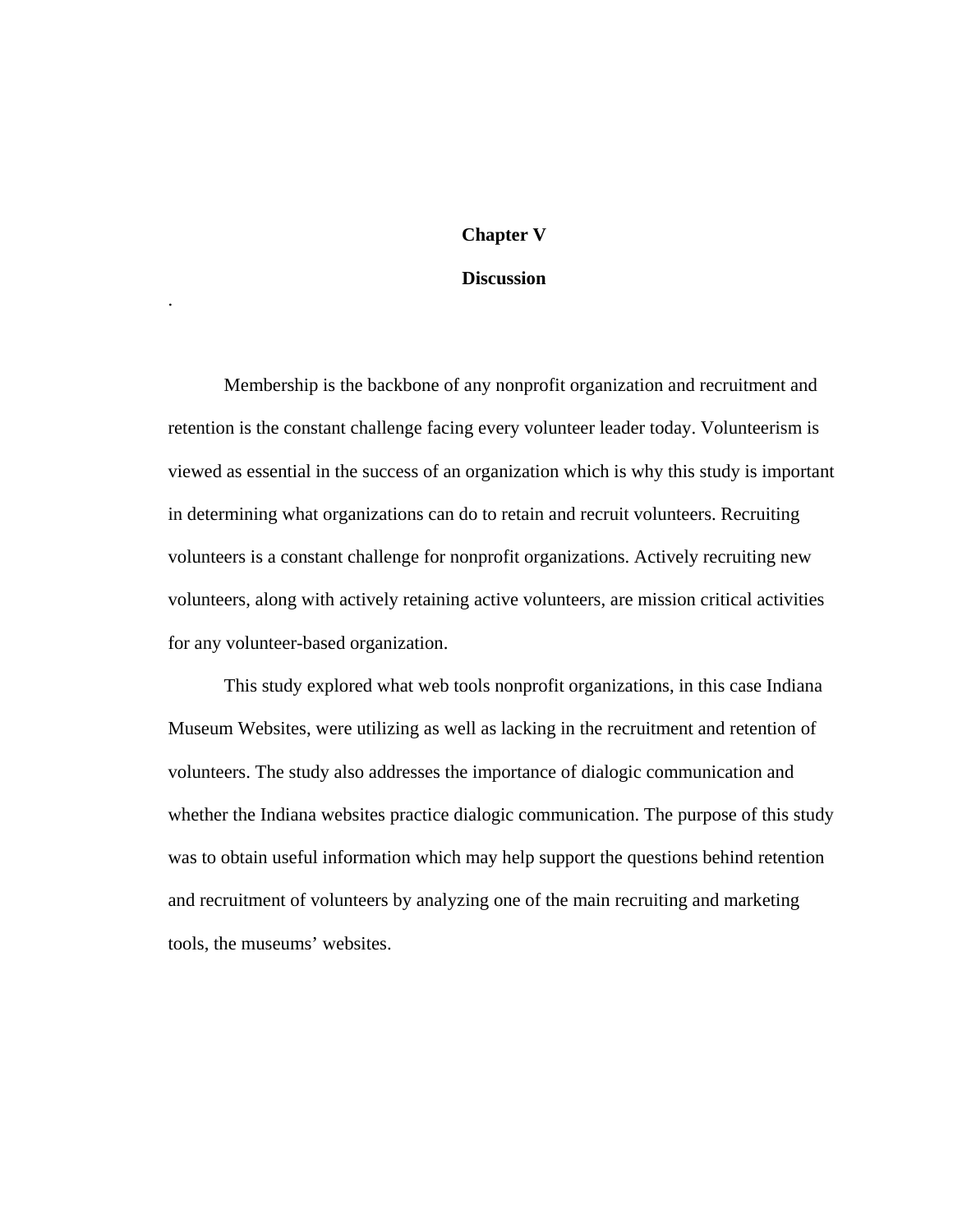# **Chapter V**

## **Discussion**

.

Membership is the backbone of any nonprofit organization and recruitment and retention is the constant challenge facing every volunteer leader today. Volunteerism is viewed as essential in the success of an organization which is why this study is important in determining what organizations can do to retain and recruit volunteers. Recruiting volunteers is a constant challenge for nonprofit organizations. Actively recruiting new volunteers, along with actively retaining active volunteers, are mission critical activities for any volunteer-based organization.

This study explored what web tools nonprofit organizations, in this case Indiana Museum Websites, were utilizing as well as lacking in the recruitment and retention of volunteers. The study also addresses the importance of dialogic communication and whether the Indiana websites practice dialogic communication. The purpose of this study was to obtain useful information which may help support the questions behind retention and recruitment of volunteers by analyzing one of the main recruiting and marketing tools, the museums' websites.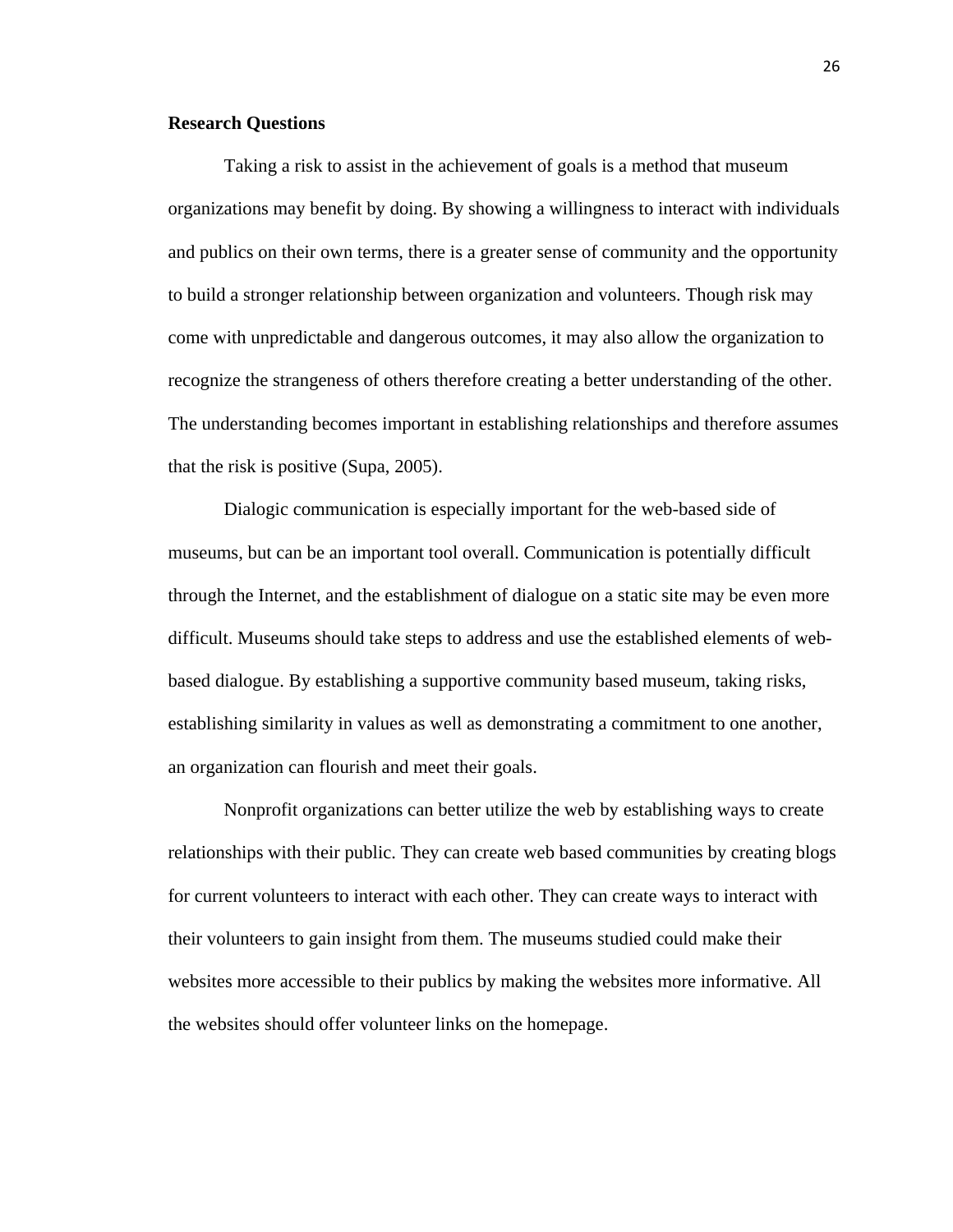#### **Research Questions**

Taking a risk to assist in the achievement of goals is a method that museum organizations may benefit by doing. By showing a willingness to interact with individuals and publics on their own terms, there is a greater sense of community and the opportunity to build a stronger relationship between organization and volunteers. Though risk may come with unpredictable and dangerous outcomes, it may also allow the organization to recognize the strangeness of others therefore creating a better understanding of the other. The understanding becomes important in establishing relationships and therefore assumes that the risk is positive (Supa, 2005).

Dialogic communication is especially important for the web-based side of museums, but can be an important tool overall. Communication is potentially difficult through the Internet, and the establishment of dialogue on a static site may be even more difficult. Museums should take steps to address and use the established elements of webbased dialogue. By establishing a supportive community based museum, taking risks, establishing similarity in values as well as demonstrating a commitment to one another, an organization can flourish and meet their goals.

Nonprofit organizations can better utilize the web by establishing ways to create relationships with their public. They can create web based communities by creating blogs for current volunteers to interact with each other. They can create ways to interact with their volunteers to gain insight from them. The museums studied could make their websites more accessible to their publics by making the websites more informative. All the websites should offer volunteer links on the homepage.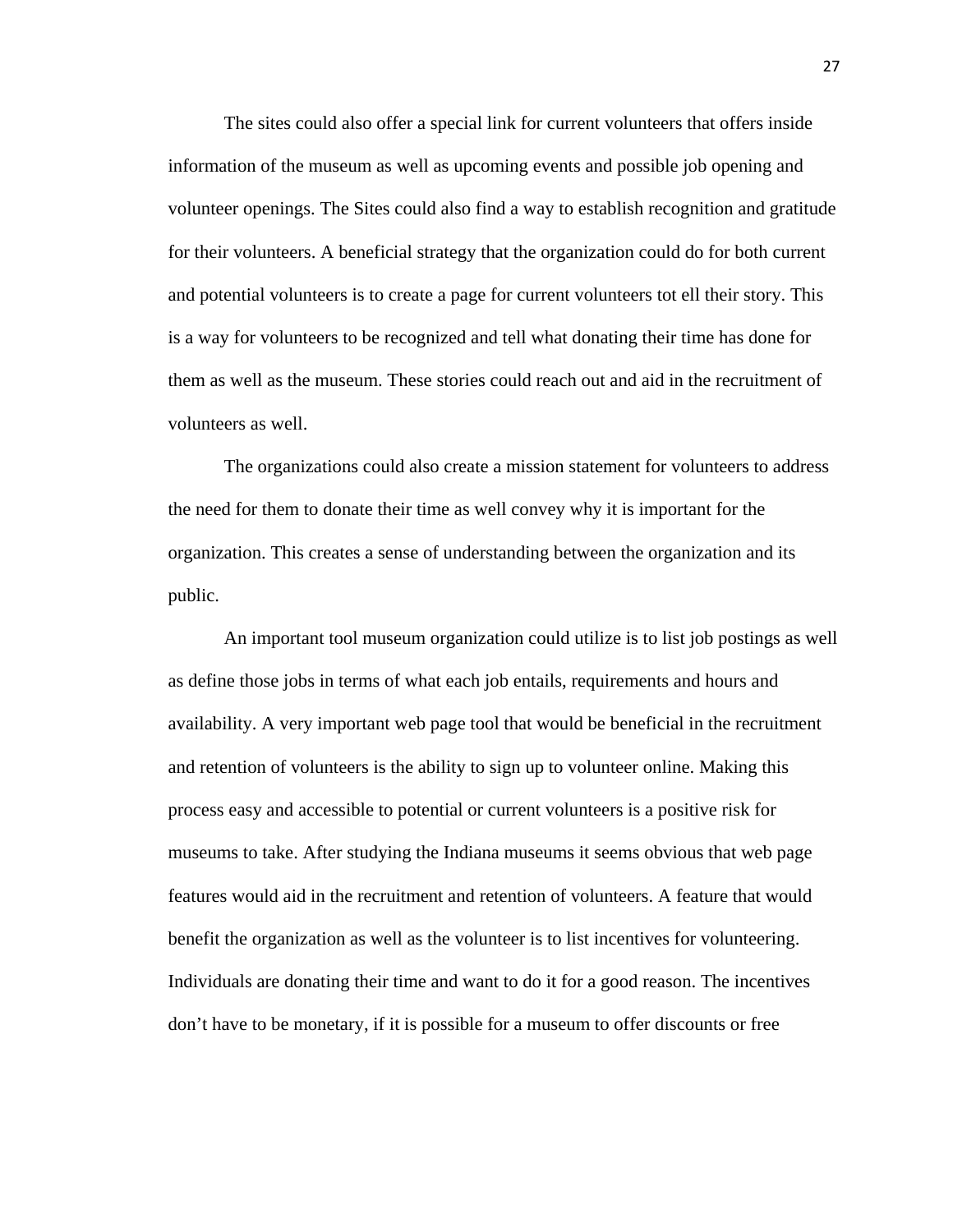The sites could also offer a special link for current volunteers that offers inside information of the museum as well as upcoming events and possible job opening and volunteer openings. The Sites could also find a way to establish recognition and gratitude for their volunteers. A beneficial strategy that the organization could do for both current and potential volunteers is to create a page for current volunteers tot ell their story. This is a way for volunteers to be recognized and tell what donating their time has done for them as well as the museum. These stories could reach out and aid in the recruitment of volunteers as well.

The organizations could also create a mission statement for volunteers to address the need for them to donate their time as well convey why it is important for the organization. This creates a sense of understanding between the organization and its public.

An important tool museum organization could utilize is to list job postings as well as define those jobs in terms of what each job entails, requirements and hours and availability. A very important web page tool that would be beneficial in the recruitment and retention of volunteers is the ability to sign up to volunteer online. Making this process easy and accessible to potential or current volunteers is a positive risk for museums to take. After studying the Indiana museums it seems obvious that web page features would aid in the recruitment and retention of volunteers. A feature that would benefit the organization as well as the volunteer is to list incentives for volunteering. Individuals are donating their time and want to do it for a good reason. The incentives don't have to be monetary, if it is possible for a museum to offer discounts or free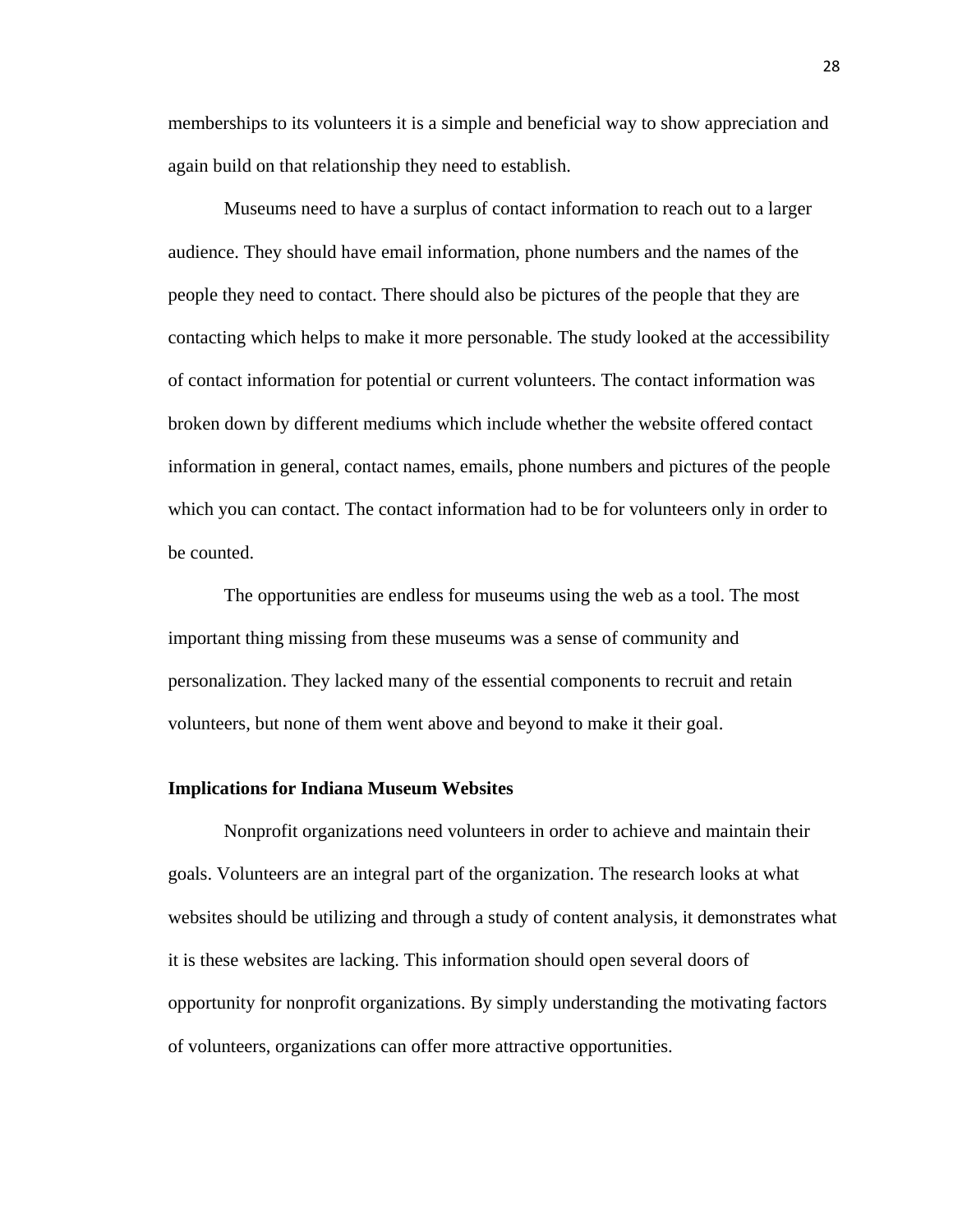memberships to its volunteers it is a simple and beneficial way to show appreciation and again build on that relationship they need to establish.

Museums need to have a surplus of contact information to reach out to a larger audience. They should have email information, phone numbers and the names of the people they need to contact. There should also be pictures of the people that they are contacting which helps to make it more personable. The study looked at the accessibility of contact information for potential or current volunteers. The contact information was broken down by different mediums which include whether the website offered contact information in general, contact names, emails, phone numbers and pictures of the people which you can contact. The contact information had to be for volunteers only in order to be counted.

The opportunities are endless for museums using the web as a tool. The most important thing missing from these museums was a sense of community and personalization. They lacked many of the essential components to recruit and retain volunteers, but none of them went above and beyond to make it their goal.

#### **Implications for Indiana Museum Websites**

Nonprofit organizations need volunteers in order to achieve and maintain their goals. Volunteers are an integral part of the organization. The research looks at what websites should be utilizing and through a study of content analysis, it demonstrates what it is these websites are lacking. This information should open several doors of opportunity for nonprofit organizations. By simply understanding the motivating factors of volunteers, organizations can offer more attractive opportunities.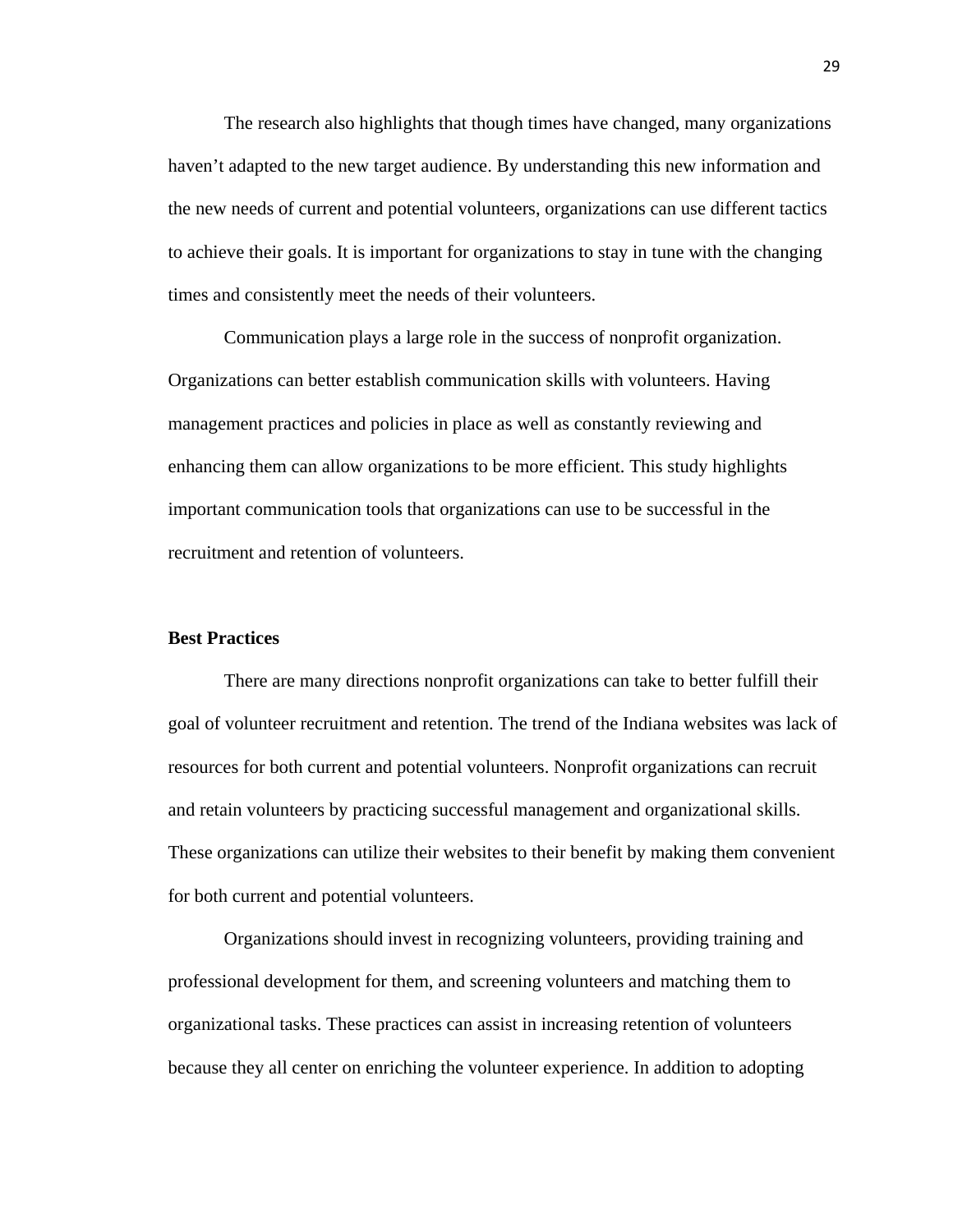The research also highlights that though times have changed, many organizations haven't adapted to the new target audience. By understanding this new information and the new needs of current and potential volunteers, organizations can use different tactics to achieve their goals. It is important for organizations to stay in tune with the changing times and consistently meet the needs of their volunteers.

Communication plays a large role in the success of nonprofit organization. Organizations can better establish communication skills with volunteers. Having management practices and policies in place as well as constantly reviewing and enhancing them can allow organizations to be more efficient. This study highlights important communication tools that organizations can use to be successful in the recruitment and retention of volunteers.

### **Best Practices**

There are many directions nonprofit organizations can take to better fulfill their goal of volunteer recruitment and retention. The trend of the Indiana websites was lack of resources for both current and potential volunteers. Nonprofit organizations can recruit and retain volunteers by practicing successful management and organizational skills. These organizations can utilize their websites to their benefit by making them convenient for both current and potential volunteers.

Organizations should invest in recognizing volunteers, providing training and professional development for them, and screening volunteers and matching them to organizational tasks. These practices can assist in increasing retention of volunteers because they all center on enriching the volunteer experience. In addition to adopting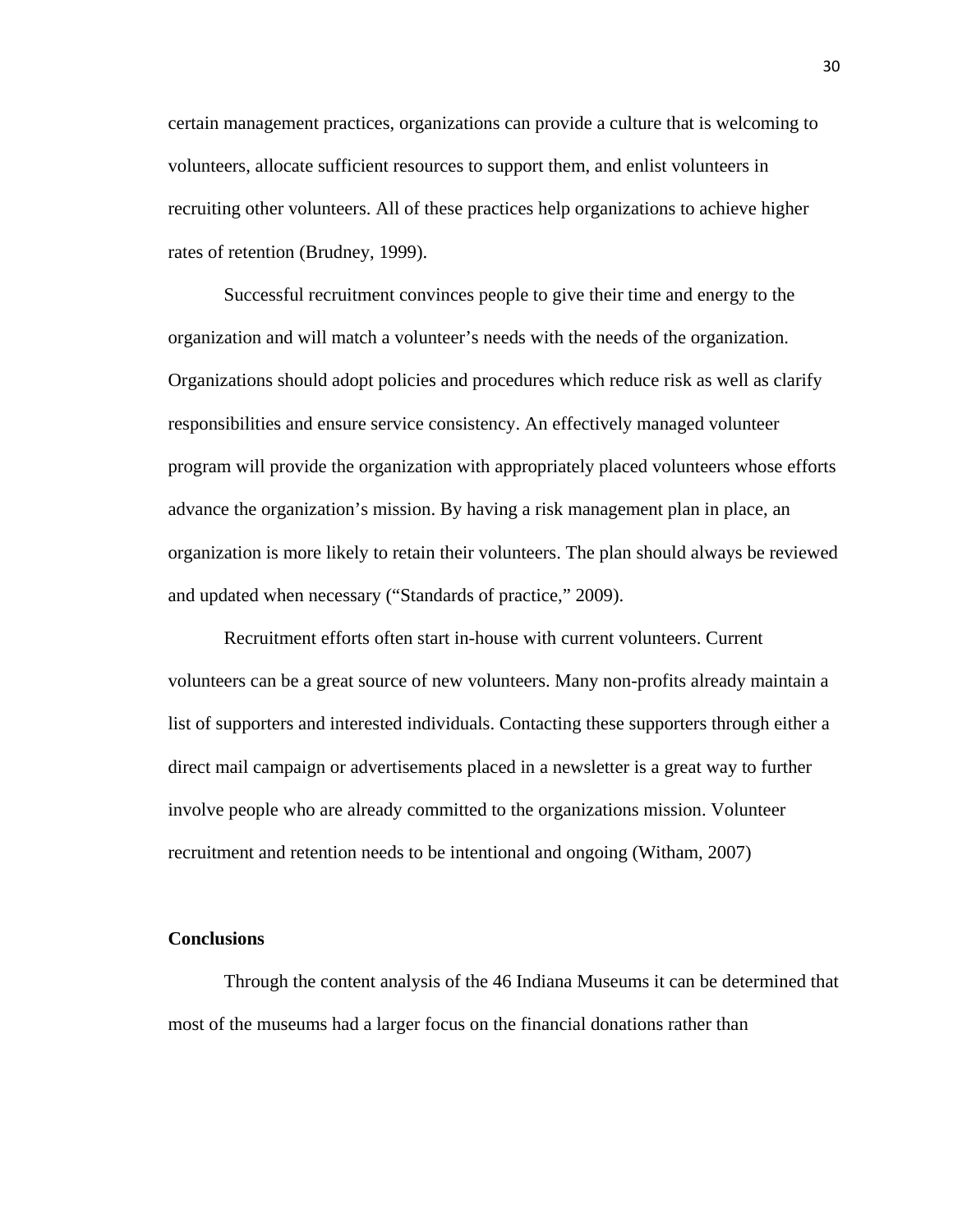certain management practices, organizations can provide a culture that is welcoming to volunteers, allocate sufficient resources to support them, and enlist volunteers in recruiting other volunteers. All of these practices help organizations to achieve higher rates of retention (Brudney, 1999).

Successful recruitment convinces people to give their time and energy to the organization and will match a volunteer's needs with the needs of the organization. Organizations should adopt policies and procedures which reduce risk as well as clarify responsibilities and ensure service consistency. An effectively managed volunteer program will provide the organization with appropriately placed volunteers whose efforts advance the organization's mission. By having a risk management plan in place, an organization is more likely to retain their volunteers. The plan should always be reviewed and updated when necessary ("Standards of practice," 2009).

Recruitment efforts often start in-house with current volunteers. Current volunteers can be a great source of new volunteers. Many non-profits already maintain a list of supporters and interested individuals. Contacting these supporters through either a direct mail campaign or advertisements placed in a newsletter is a great way to further involve people who are already committed to the organizations mission. Volunteer recruitment and retention needs to be intentional and ongoing (Witham, 2007)

### **Conclusions**

Through the content analysis of the 46 Indiana Museums it can be determined that most of the museums had a larger focus on the financial donations rather than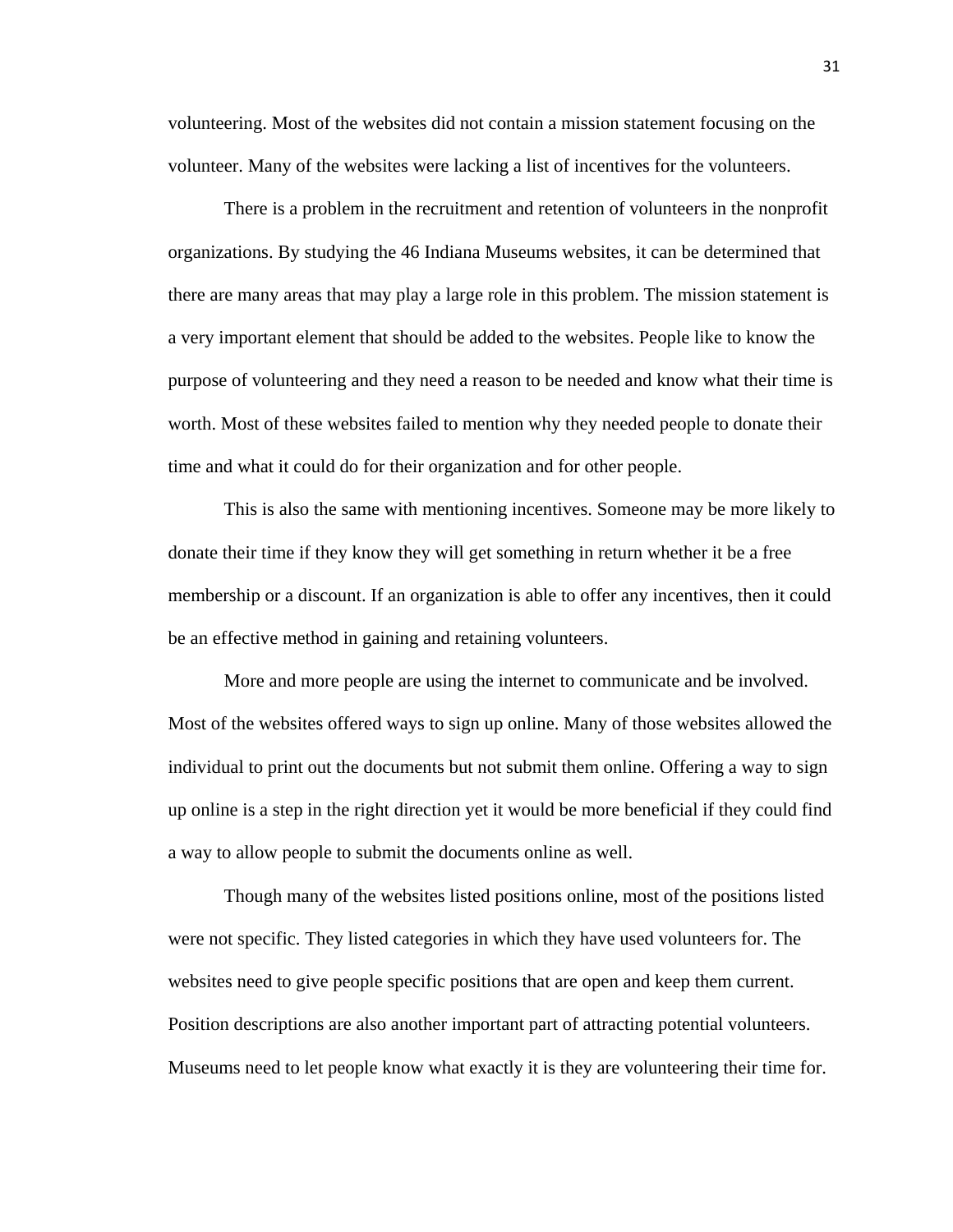volunteering. Most of the websites did not contain a mission statement focusing on the volunteer. Many of the websites were lacking a list of incentives for the volunteers.

 There is a problem in the recruitment and retention of volunteers in the nonprofit organizations. By studying the 46 Indiana Museums websites, it can be determined that there are many areas that may play a large role in this problem. The mission statement is a very important element that should be added to the websites. People like to know the purpose of volunteering and they need a reason to be needed and know what their time is worth. Most of these websites failed to mention why they needed people to donate their time and what it could do for their organization and for other people.

This is also the same with mentioning incentives. Someone may be more likely to donate their time if they know they will get something in return whether it be a free membership or a discount. If an organization is able to offer any incentives, then it could be an effective method in gaining and retaining volunteers.

More and more people are using the internet to communicate and be involved. Most of the websites offered ways to sign up online. Many of those websites allowed the individual to print out the documents but not submit them online. Offering a way to sign up online is a step in the right direction yet it would be more beneficial if they could find a way to allow people to submit the documents online as well.

Though many of the websites listed positions online, most of the positions listed were not specific. They listed categories in which they have used volunteers for. The websites need to give people specific positions that are open and keep them current. Position descriptions are also another important part of attracting potential volunteers. Museums need to let people know what exactly it is they are volunteering their time for.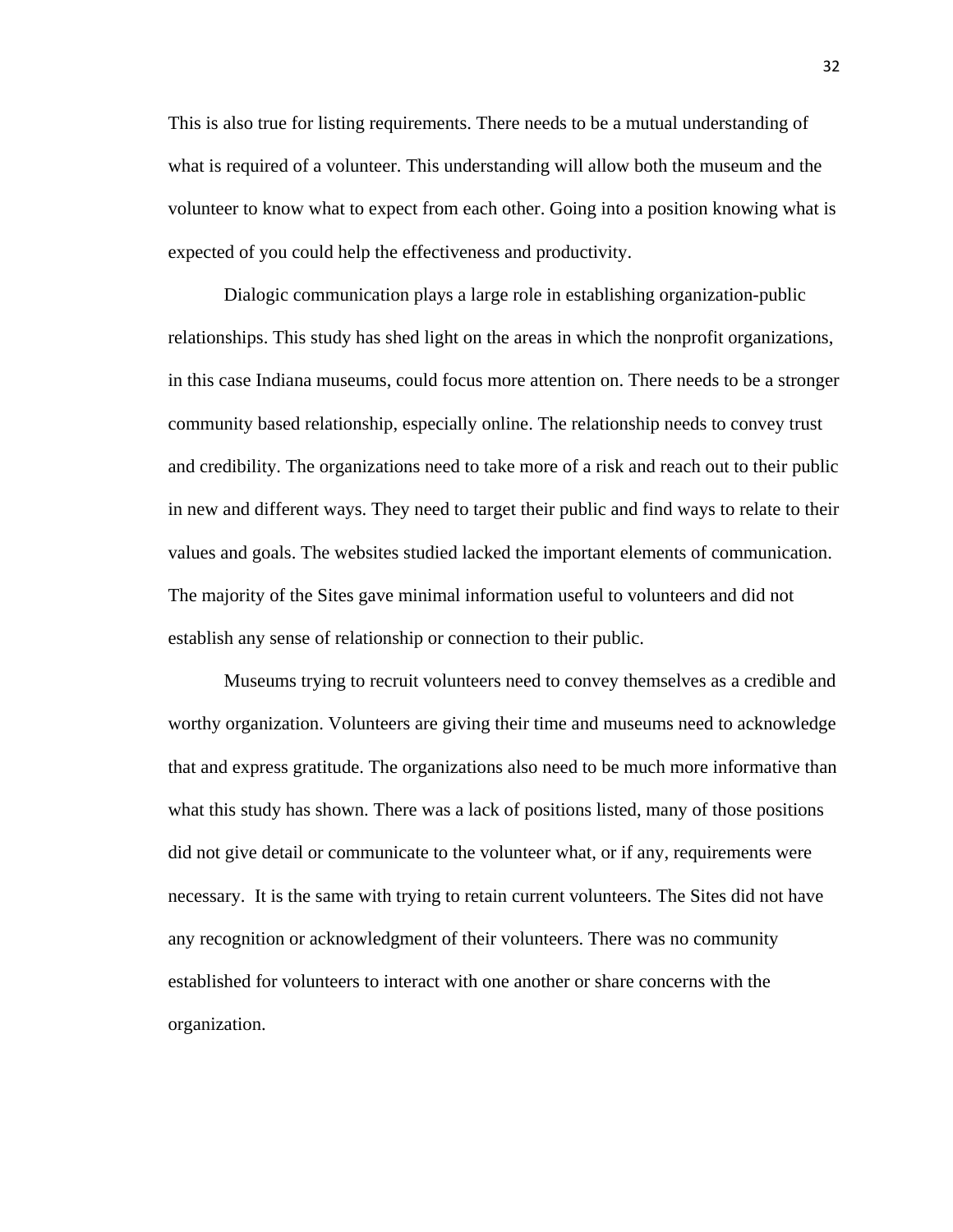This is also true for listing requirements. There needs to be a mutual understanding of what is required of a volunteer. This understanding will allow both the museum and the volunteer to know what to expect from each other. Going into a position knowing what is expected of you could help the effectiveness and productivity.

Dialogic communication plays a large role in establishing organization-public relationships. This study has shed light on the areas in which the nonprofit organizations, in this case Indiana museums, could focus more attention on. There needs to be a stronger community based relationship, especially online. The relationship needs to convey trust and credibility. The organizations need to take more of a risk and reach out to their public in new and different ways. They need to target their public and find ways to relate to their values and goals. The websites studied lacked the important elements of communication. The majority of the Sites gave minimal information useful to volunteers and did not establish any sense of relationship or connection to their public.

Museums trying to recruit volunteers need to convey themselves as a credible and worthy organization. Volunteers are giving their time and museums need to acknowledge that and express gratitude. The organizations also need to be much more informative than what this study has shown. There was a lack of positions listed, many of those positions did not give detail or communicate to the volunteer what, or if any, requirements were necessary. It is the same with trying to retain current volunteers. The Sites did not have any recognition or acknowledgment of their volunteers. There was no community established for volunteers to interact with one another or share concerns with the organization.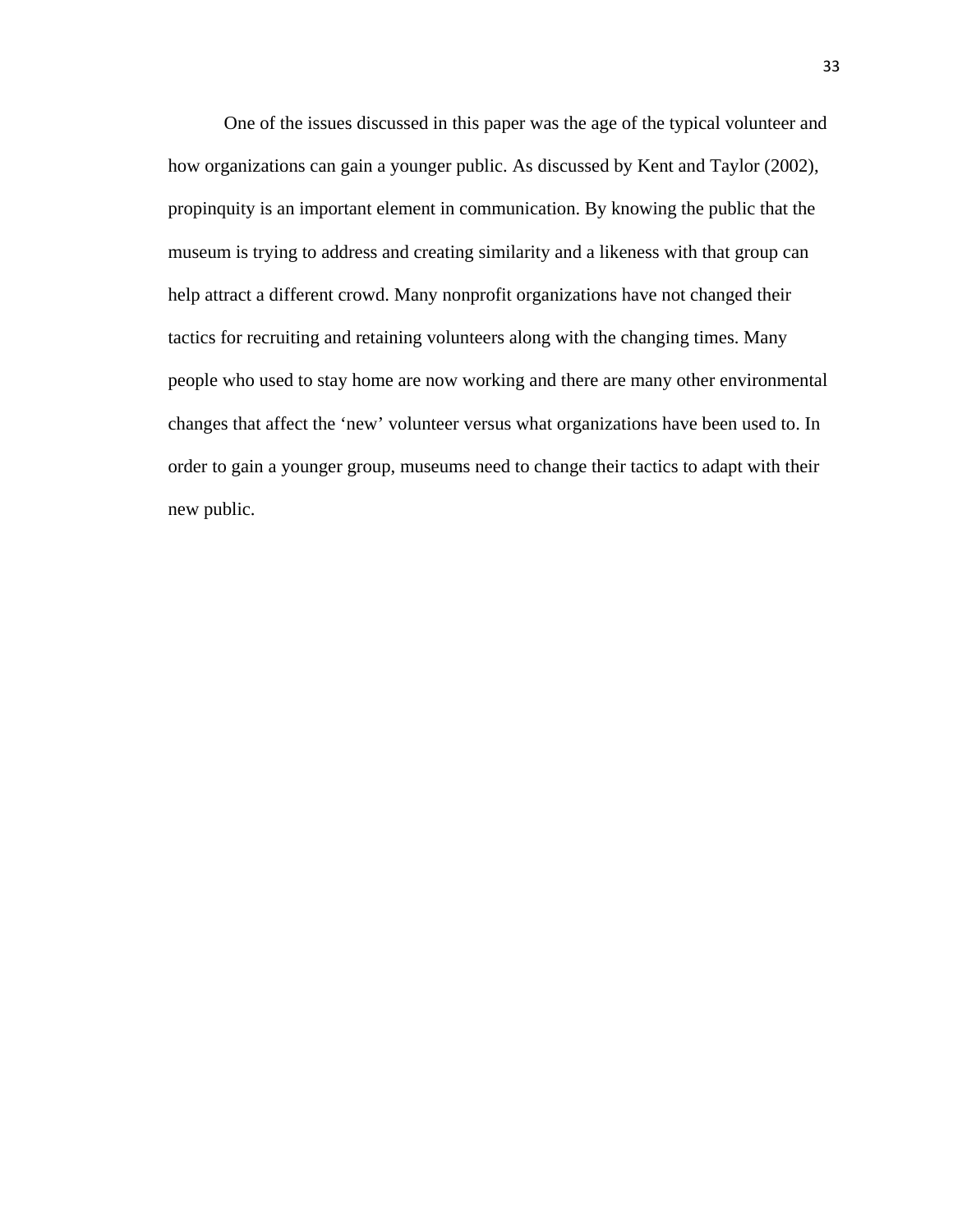One of the issues discussed in this paper was the age of the typical volunteer and how organizations can gain a younger public. As discussed by Kent and Taylor (2002), propinquity is an important element in communication. By knowing the public that the museum is trying to address and creating similarity and a likeness with that group can help attract a different crowd. Many nonprofit organizations have not changed their tactics for recruiting and retaining volunteers along with the changing times. Many people who used to stay home are now working and there are many other environmental changes that affect the 'new' volunteer versus what organizations have been used to. In order to gain a younger group, museums need to change their tactics to adapt with their new public.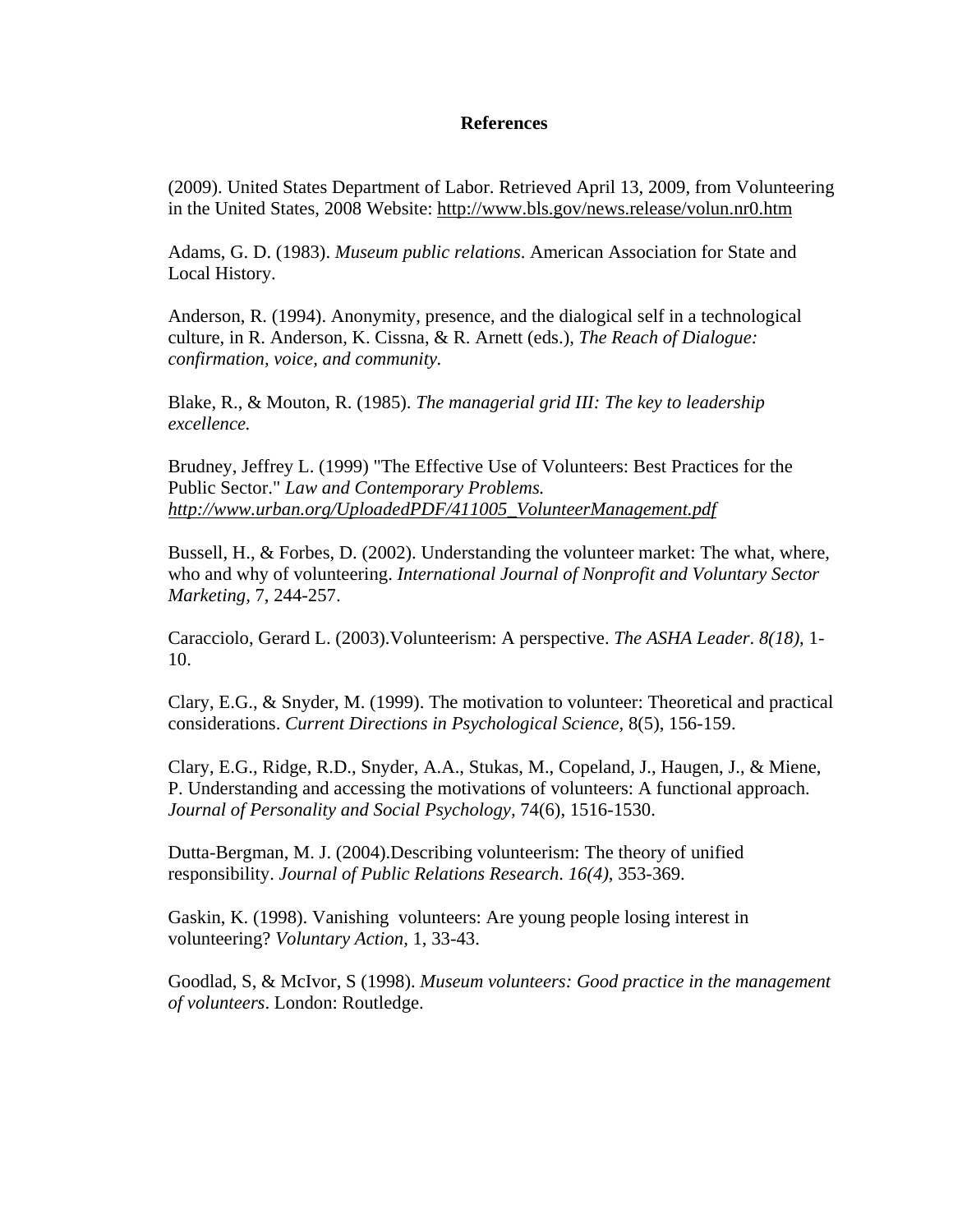## **References**

(2009). United States Department of Labor. Retrieved April 13, 2009, from Volunteering in the United States, 2008 Website:<http://www.bls.gov/news.release/volun.nr0.htm>

Adams, G. D. (1983). *Museum public relations*. American Association for State and Local History.

Anderson, R. (1994). Anonymity, presence, and the dialogical self in a technological culture, in R. Anderson, K. Cissna, & R. Arnett (eds.), *The Reach of Dialogue: confirmation, voice, and community.* 

Blake, R., & Mouton, R. (1985). *The managerial grid III: The key to leadership excellence.* 

Brudney, Jeffrey L. (1999) "The Effective Use of Volunteers: Best Practices for the Public Sector." *Law and Contemporary Problems. [http://www.urban.org/UploadedPDF/411005\\_VolunteerManagement.pdf](http://www.urban.org/UploadedPDF/411005_VolunteerManagement.pdf)*

Bussell, H., & Forbes, D. (2002). Understanding the volunteer market: The what, where, who and why of volunteering. *International Journal of Nonprofit and Voluntary Sector Marketing,* 7, 244-257.

Caracciolo, Gerard L. (2003).Volunteerism: A perspective. *The ASHA Leader*. *8(18)*, 1- 10.

Clary, E.G., & Snyder, M. (1999). The motivation to volunteer: Theoretical and practical considerations. *Current Directions in Psychological Science,* 8(5), 156-159.

Clary, E.G., Ridge, R.D., Snyder, A.A., Stukas, M., Copeland, J., Haugen, J., & Miene, P. Understanding and accessing the motivations of volunteers: A functional approach. *Journal of Personality and Social Psychology,* 74(6), 1516-1530.

Dutta-Bergman, M. J. (2004).Describing volunteerism: The theory of unified responsibility. *Journal of Public Relations Research*. *16(4)*, 353-369.

Gaskin, K. (1998). Vanishing volunteers: Are young people losing interest in volunteering? *Voluntary Action,* 1, 33-43.

Goodlad, S, & McIvor, S (1998). *Museum volunteers: Good practice in the management of volunteers*. London: Routledge.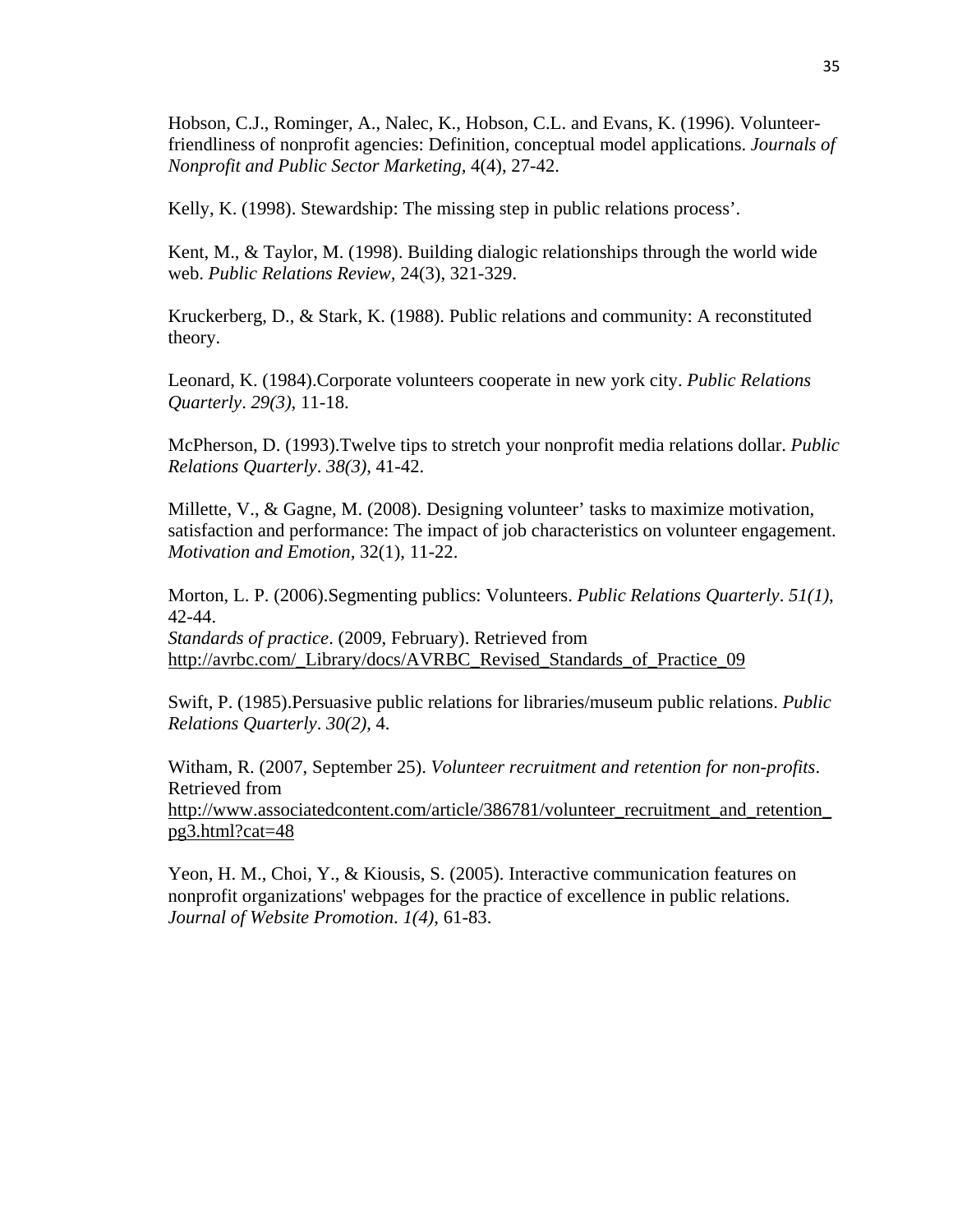Hobson, C.J., Rominger, A., Nalec, K., Hobson, C.L. and Evans, K. (1996). Volunteerfriendliness of nonprofit agencies: Definition, conceptual model applications. *Journals of Nonprofit and Public Sector Marketing,* 4(4), 27-42.

Kelly, K. (1998). Stewardship: The missing step in public relations process'.

Kent, M.,  $\&$  Taylor, M. (1998). Building dialogic relationships through the world wide web. *Public Relations Review,* 24(3), 321-329.

Kruckerberg, D., & Stark, K. (1988). Public relations and community: A reconstituted theory.

Leonard, K. (1984).Corporate volunteers cooperate in new york city. *Public Relations Quarterly*. *29(3)*, 11-18.

McPherson, D. (1993).Twelve tips to stretch your nonprofit media relations dollar. *Public Relations Quarterly*. *38(3)*, 41-42.

Millette, V., & Gagne, M. (2008). Designing volunteer' tasks to maximize motivation, satisfaction and performance: The impact of job characteristics on volunteer engagement. *Motivation and Emotion,* 32(1), 11-22.

Morton, L. P. (2006).Segmenting publics: Volunteers. *Public Relations Quarterly*. *51(1)*, 42-44. *Standards of practice*. (2009, February). Retrieved from [http://avrbc.com/\\_Library/docs/AVRBC\\_Revised\\_Standards\\_of\\_Practice\\_09](http://avrbc.com/_Library/docs/AVRBC_Revised_Standards_of_Practice_09)

Swift, P. (1985).Persuasive public relations for libraries/museum public relations. *Public Relations Quarterly*. *30(2)*, 4.

Witham, R. (2007, September 25). *Volunteer recruitment and retention for non-profits*. Retrieved from [http://www.associatedcontent.com/article/386781/volunteer\\_recruitment\\_and\\_retention\\_](http://www.associatedcontent.com/article/386781/volunteer_recruitment_and_retention_pg3.html?cat=48) [pg3.html?cat=48](http://www.associatedcontent.com/article/386781/volunteer_recruitment_and_retention_pg3.html?cat=48)

Yeon, H. M., Choi, Y., & Kiousis, S. (2005). Interactive communication features on nonprofit organizations' webpages for the practice of excellence in public relations. *Journal of Website Promotion*. *1(4)*, 61-83.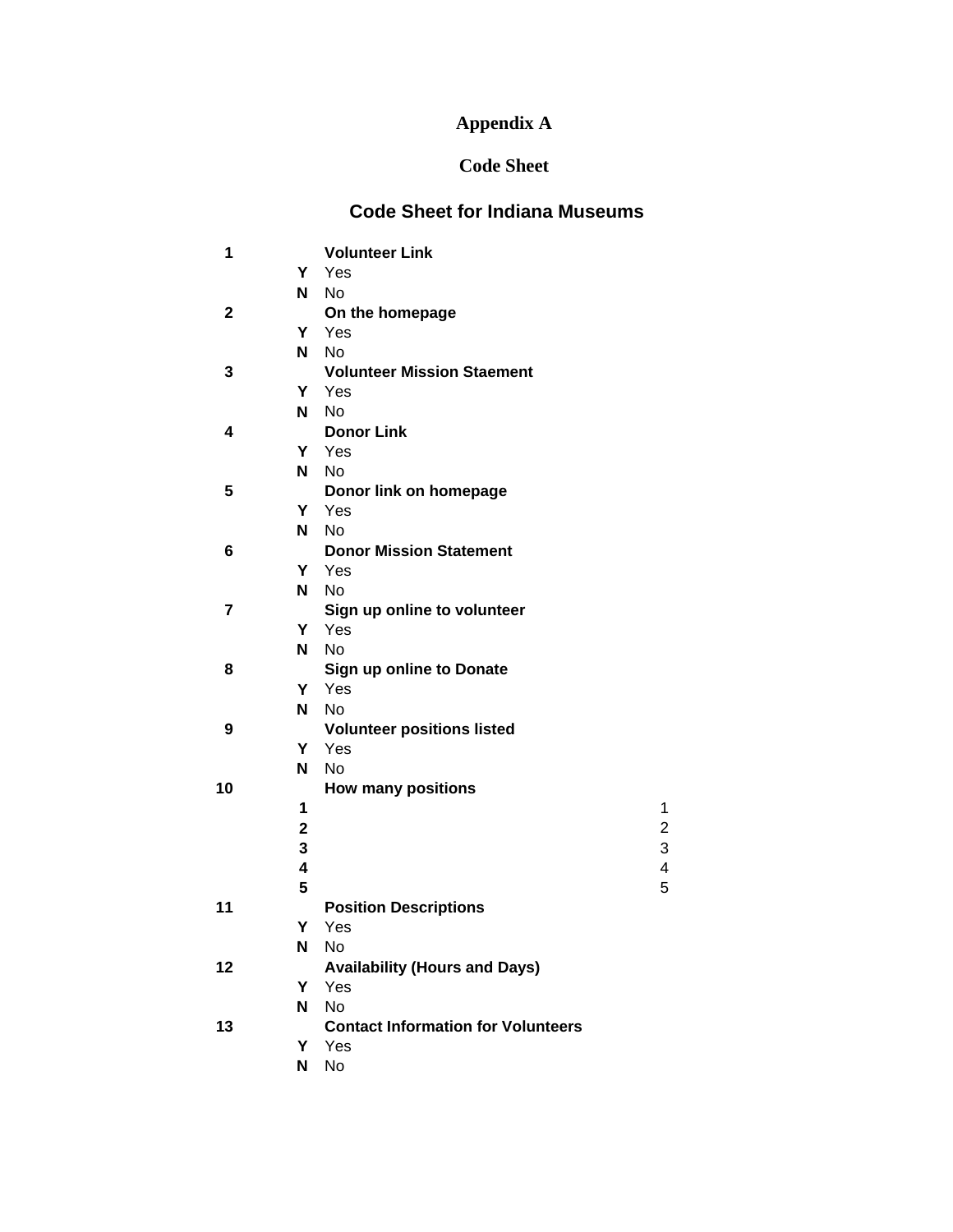# **Appendix A**

# **Code Sheet**

# **Code Sheet for Indiana Museums**

| 1           |                | <b>Volunteer Link</b>                     |                         |
|-------------|----------------|-------------------------------------------|-------------------------|
|             | Y              | Yes                                       |                         |
|             | N.             | <b>No</b>                                 |                         |
| $\mathbf 2$ |                | On the homepage                           |                         |
|             |                | Y Yes                                     |                         |
|             | N <sub>1</sub> | <b>No</b>                                 |                         |
| 3           |                | <b>Volunteer Mission Staement</b>         |                         |
|             |                | Y Yes                                     |                         |
|             | N.             | <b>No</b>                                 |                         |
| 4           |                | <b>Donor Link</b>                         |                         |
|             |                | Y Yes                                     |                         |
|             | N              | No                                        |                         |
| 5           |                | Donor link on homepage                    |                         |
|             | Y              | Yes                                       |                         |
|             | N              | <b>No</b>                                 |                         |
| 6           |                | <b>Donor Mission Statement</b>            |                         |
|             | Y.             | Yes                                       |                         |
|             | N              | <b>No</b>                                 |                         |
| 7           |                | Sign up online to volunteer               |                         |
|             |                | Y Yes                                     |                         |
|             | N.             | No                                        |                         |
| 8           |                | Sign up online to Donate                  |                         |
|             |                | Y Yes                                     |                         |
|             | N.             | No                                        |                         |
| 9           |                | <b>Volunteer positions listed</b>         |                         |
|             | Y.             | Yes                                       |                         |
|             | N              | <b>No</b>                                 |                         |
| 10          |                | <b>How many positions</b>                 |                         |
|             | 1              |                                           | 1                       |
|             | $\mathbf 2$    |                                           | $\overline{c}$          |
|             | 3              |                                           | 3                       |
|             | 4              |                                           | $\overline{\mathbf{4}}$ |
|             | 5              |                                           | 5                       |
| 11          |                | <b>Position Descriptions</b>              |                         |
|             | Υ              | Yes                                       |                         |
|             | N              | No                                        |                         |
| 12          |                | <b>Availability (Hours and Days)</b>      |                         |
|             | Υ              | Yes                                       |                         |
|             | N              | <b>No</b>                                 |                         |
| 13          |                | <b>Contact Information for Volunteers</b> |                         |
|             | Y              | Yes                                       |                         |
|             | N              | No                                        |                         |